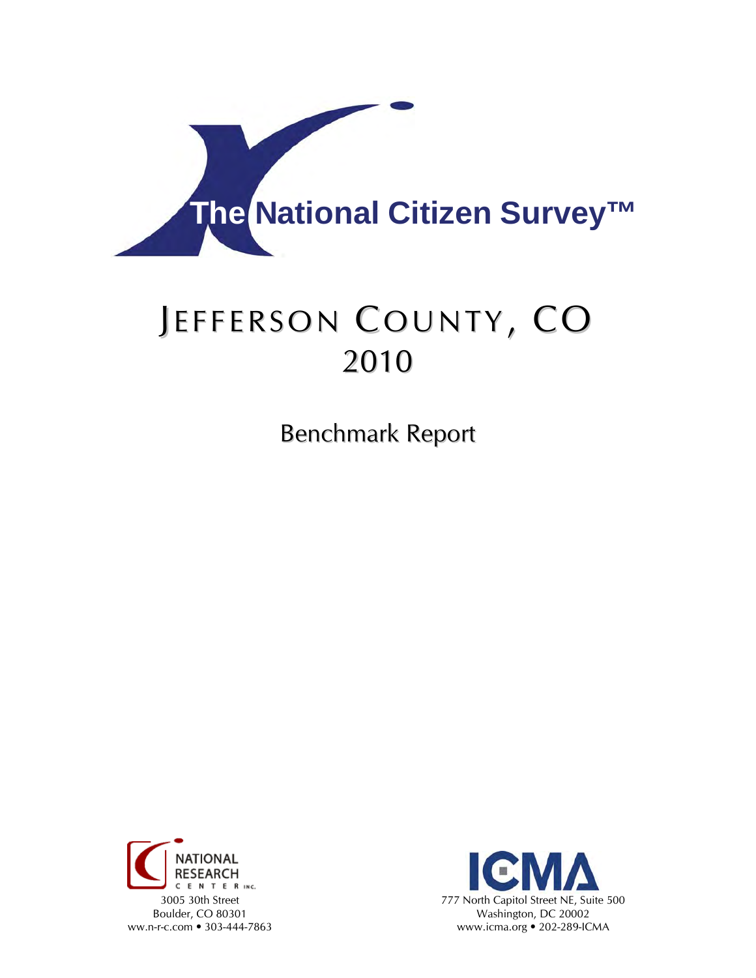

# JEFFERSON COUNTY, CO 2010

Benchmark Report



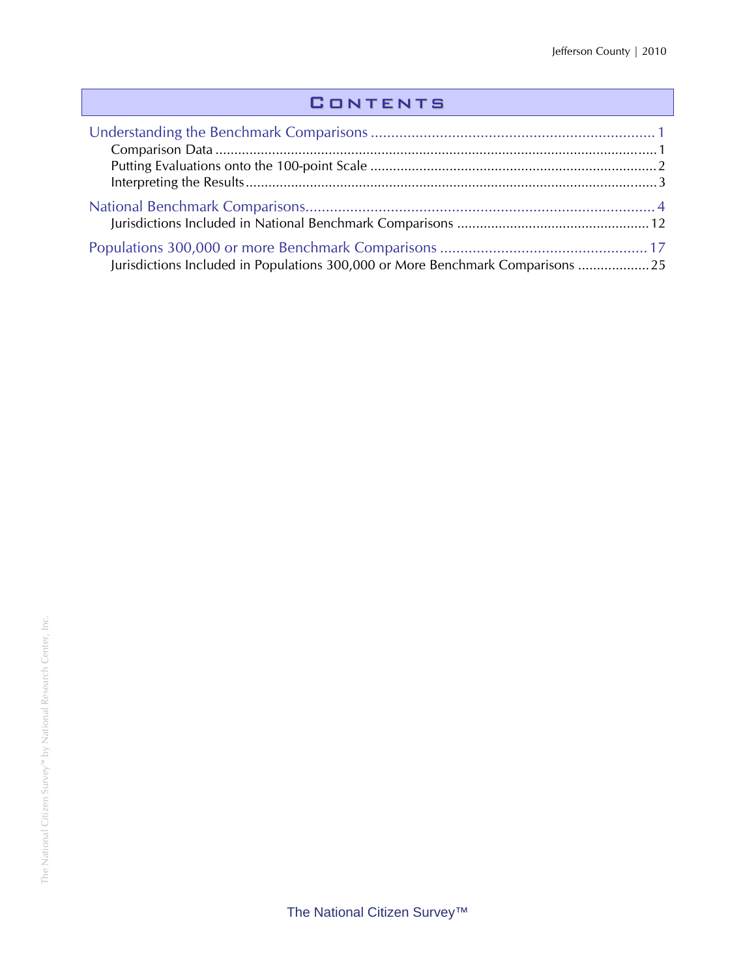## **CONTENTS**

| Jurisdictions Included in Populations 300,000 or More Benchmark Comparisons  25 |  |
|---------------------------------------------------------------------------------|--|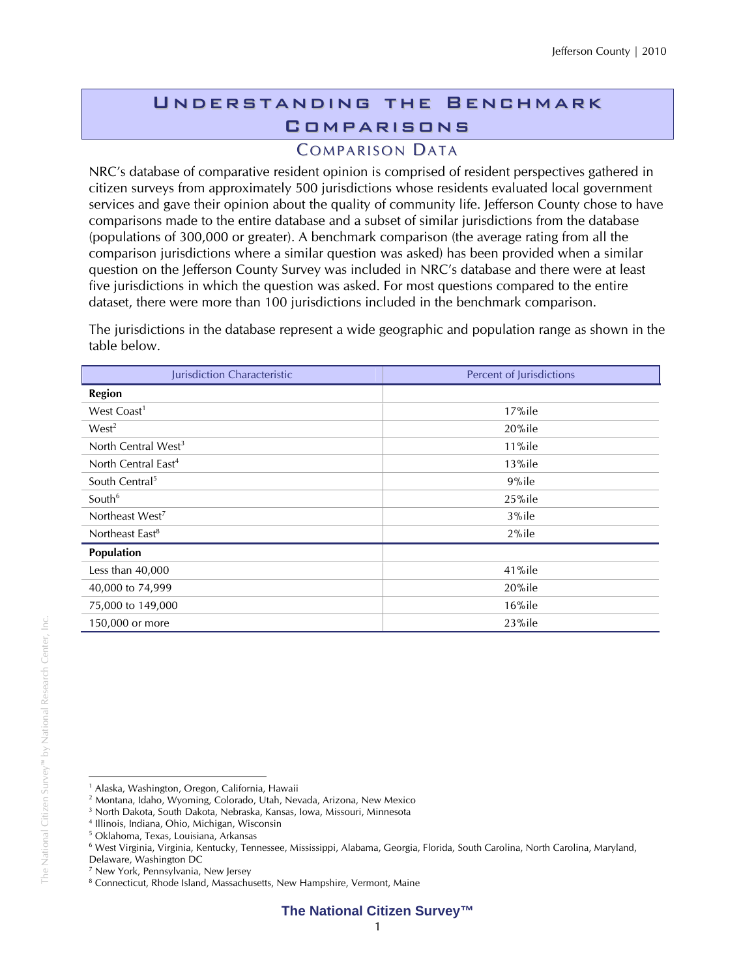## Understanding the Benchmark **COMPARISONS**

## **COMPARISON DATA**

NRC's database of comparative resident opinion is comprised of resident perspectives gathered in citizen surveys from approximately 500 jurisdictions whose residents evaluated local government services and gave their opinion about the quality of community life. Jefferson County chose to have comparisons made to the entire database and a subset of similar jurisdictions from the database (populations of 300,000 or greater). A benchmark comparison (the average rating from all the comparison jurisdictions where a similar question was asked) has been provided when a similar question on the Jefferson County Survey was included in NRC's database and there were at least five jurisdictions in which the question was asked. For most questions compared to the entire dataset, there were more than 100 jurisdictions included in the benchmark comparison.

The jurisdictions in the database represent a wide geographic and population range as shown in the table below.

| Jurisdiction Characteristic     | Percent of Jurisdictions |
|---------------------------------|--------------------------|
| <b>Region</b>                   |                          |
| West Coast <sup>1</sup>         | $17%$ ile                |
| West <sup>2</sup>               | $20\%$ ile               |
| North Central West <sup>3</sup> | $11\%$ ile               |
| North Central East <sup>4</sup> | $13\%$ ile               |
| South Central <sup>5</sup>      | 9%ile                    |
| South <sup>6</sup>              | 25%ile                   |
| Northeast West <sup>7</sup>     | 3%ile                    |
| Northeast East <sup>8</sup>     | 2%ile                    |
| Population                      |                          |
| Less than 40,000                | 41%ile                   |
| 40,000 to 74,999                | 20%ile                   |
| 75,000 to 149,000               | $16\%$ ile               |
| 150,000 or more                 | 23%ile                   |

 $\overline{a}$ <sup>1</sup> Alaska, Washington, Oregon, California, Hawaii

<sup>2</sup> Montana, Idaho, Wyoming, Colorado, Utah, Nevada, Arizona, New Mexico

<sup>3</sup> North Dakota, South Dakota, Nebraska, Kansas, Iowa, Missouri, Minnesota

<sup>4</sup> Illinois, Indiana, Ohio, Michigan, Wisconsin

<sup>5</sup> Oklahoma, Texas, Louisiana, Arkansas

<sup>6</sup> West Virginia, Virginia, Kentucky, Tennessee, Mississippi, Alabama, Georgia, Florida, South Carolina, North Carolina, Maryland,

Delaware, Washington DC

<sup>7</sup> New York, Pennsylvania, New Jersey

<sup>&</sup>lt;sup>8</sup> Connecticut, Rhode Island, Massachusetts, New Hampshire, Vermont, Maine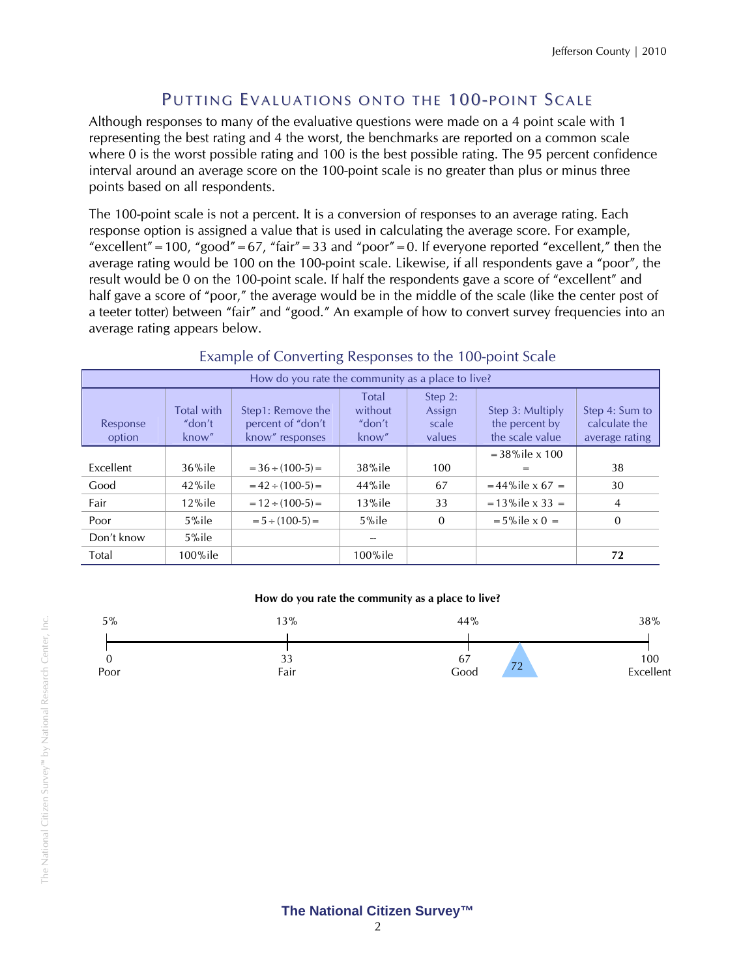## PUTTING EVALUATIONS ONTO THE 100-POINT SCALE

Although responses to many of the evaluative questions were made on a 4 point scale with 1 representing the best rating and 4 the worst, the benchmarks are reported on a common scale where 0 is the worst possible rating and 100 is the best possible rating. The 95 percent confidence interval around an average score on the 100-point scale is no greater than plus or minus three points based on all respondents.

The 100-point scale is not a percent. It is a conversion of responses to an average rating. Each response option is assigned a value that is used in calculating the average score. For example, "excellent" = 100, "good" = 67, "fair" = 33 and "poor" = 0. If everyone reported "excellent," then the average rating would be 100 on the 100-point scale. Likewise, if all respondents gave a "poor", the result would be 0 on the 100-point scale. If half the respondents gave a score of "excellent" and half gave a score of "poor," the average would be in the middle of the scale (like the center post of a teeter totter) between "fair" and "good." An example of how to convert survey frequencies into an average rating appears below.

| How do you rate the community as a place to live? |                               |                                                           |                                     |                                      |                                                       |                                                   |
|---------------------------------------------------|-------------------------------|-----------------------------------------------------------|-------------------------------------|--------------------------------------|-------------------------------------------------------|---------------------------------------------------|
| Response<br>option                                | Total with<br>"don't<br>know" | Step1: Remove the<br>percent of "don't<br>know" responses | Total<br>without<br>"don't<br>know" | Step 2:<br>Assign<br>scale<br>values | Step 3: Multiply<br>the percent by<br>the scale value | Step 4: Sum to<br>calculate the<br>average rating |
|                                                   |                               |                                                           |                                     |                                      | $=$ 38% ile $\times$ 100                              |                                                   |
| Excellent                                         | $36\%$ ile                    | $= 36 \div (100-5) =$                                     | $38\%$ ile                          | 100                                  | =                                                     | 38                                                |
| Good                                              | $42\%$ ile                    | $= 42 \div (100-5) =$                                     | $44\%$ ile                          | 67                                   | $=44\%$ ile x 67 =                                    | 30                                                |
| Fair                                              | $12\%$ ile                    | $= 12 \div (100-5) =$                                     | $13\%$ ile                          | 33                                   | $= 13\%$ ile x 33 =                                   | 4                                                 |
| Poor                                              | $5%$ ile                      | $= 5 \div (100-5) =$                                      | $5%$ ile                            | $\Omega$                             | $= 5\%$ ile x 0 =                                     | $\Omega$                                          |
| Don't know                                        | $5\%$ ile                     |                                                           |                                     |                                      |                                                       |                                                   |
| Total                                             | $100\%$ ile                   |                                                           | 100%ile                             |                                      |                                                       | 72                                                |

#### Example of Converting Responses to the 100-point Scale

#### **How do you rate the community as a place to live?**

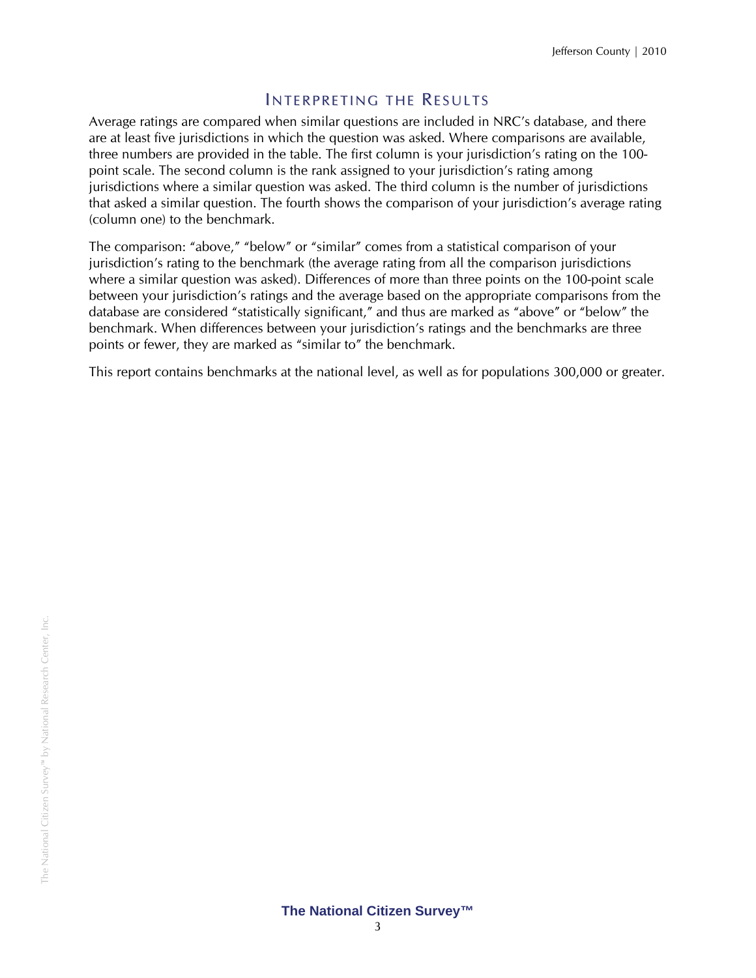## INTERPRETING THE RESULTS

Average ratings are compared when similar questions are included in NRC's database, and there are at least five jurisdictions in which the question was asked. Where comparisons are available, three numbers are provided in the table. The first column is your jurisdiction's rating on the 100 point scale. The second column is the rank assigned to your jurisdiction's rating among jurisdictions where a similar question was asked. The third column is the number of jurisdictions that asked a similar question. The fourth shows the comparison of your jurisdiction's average rating (column one) to the benchmark.

The comparison: "above," "below" or "similar" comes from a statistical comparison of your jurisdiction's rating to the benchmark (the average rating from all the comparison jurisdictions where a similar question was asked). Differences of more than three points on the 100-point scale between your jurisdiction's ratings and the average based on the appropriate comparisons from the database are considered "statistically significant," and thus are marked as "above" or "below" the benchmark. When differences between your jurisdiction's ratings and the benchmarks are three points or fewer, they are marked as "similar to" the benchmark.

This report contains benchmarks at the national level, as well as for populations 300,000 or greater.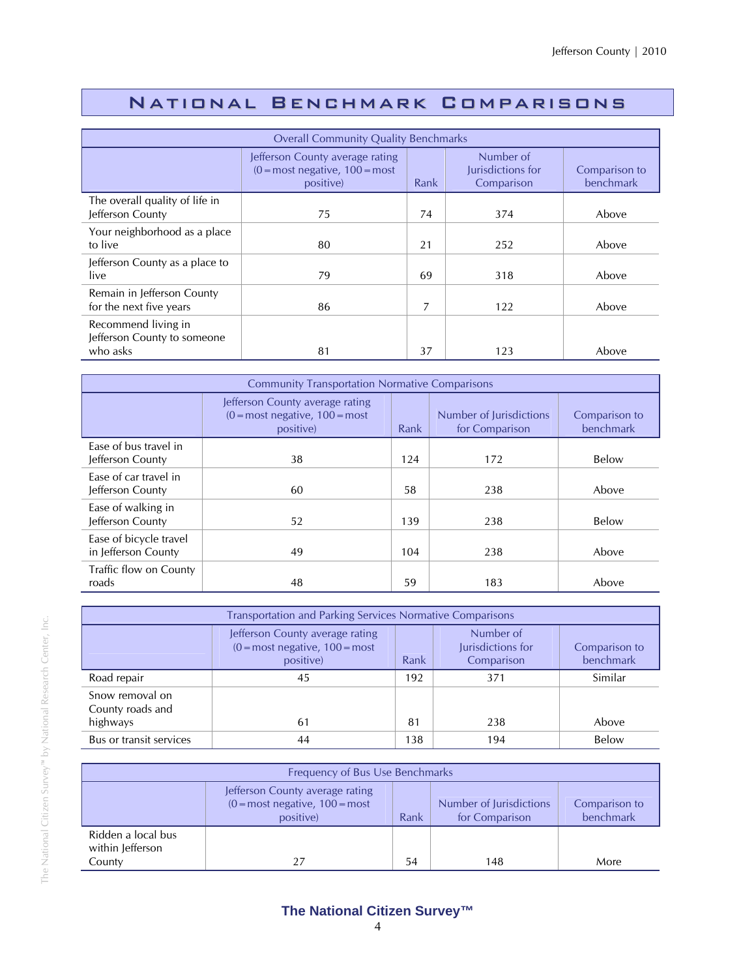## National Benchmark Comparisons

| <b>Overall Community Quality Benchmarks</b>                    |                                                                                                 |      |                                              |                            |  |
|----------------------------------------------------------------|-------------------------------------------------------------------------------------------------|------|----------------------------------------------|----------------------------|--|
|                                                                | Jefferson County average rating<br>$(0 = \text{most negative}, 100 = \text{most})$<br>positive) | Rank | Number of<br>Jurisdictions for<br>Comparison | Comparison to<br>benchmark |  |
| The overall quality of life in<br>Jefferson County             | 75                                                                                              | 74   | 374                                          | Above                      |  |
| Your neighborhood as a place<br>to live                        | 80                                                                                              | 21   | 252                                          | Above                      |  |
| Jefferson County as a place to<br>live                         | 79                                                                                              | 69   | 318                                          | Above                      |  |
| Remain in Jefferson County<br>for the next five years          | 86                                                                                              | 7    | 122                                          | Above                      |  |
| Recommend living in<br>Jefferson County to someone<br>who asks | 81                                                                                              | 37   | 123                                          | Above                      |  |

| <b>Community Transportation Normative Comparisons</b> |                                                                                   |      |                                           |                            |  |
|-------------------------------------------------------|-----------------------------------------------------------------------------------|------|-------------------------------------------|----------------------------|--|
|                                                       | Jefferson County average rating<br>$(0 = most negative, 100 = most)$<br>positive) | Rank | Number of Jurisdictions<br>for Comparison | Comparison to<br>benchmark |  |
| Ease of bus travel in<br>Jefferson County             | 38                                                                                | 124  | 172                                       | Below                      |  |
| Ease of car travel in<br>Jefferson County             | 60                                                                                | 58   | 238                                       | Above                      |  |
| Ease of walking in<br>Jefferson County                | 52                                                                                | 139  | 238                                       | Below                      |  |
| Ease of bicycle travel<br>in Jefferson County         | 49                                                                                | 104  | 238                                       | Above                      |  |
| Traffic flow on County<br>roads                       | 48                                                                                | 59   | 183                                       | Above                      |  |

| <b>Transportation and Parking Services Normative Comparisons</b> |                                                                                                                                                                         |     |     |         |  |  |
|------------------------------------------------------------------|-------------------------------------------------------------------------------------------------------------------------------------------------------------------------|-----|-----|---------|--|--|
|                                                                  | Number of<br>Jefferson County average rating<br>Jurisdictions for<br>$(0 = most negative, 100 = most)$<br>Comparison to<br>benchmark<br>Rank<br>Comparison<br>positive) |     |     |         |  |  |
| Road repair                                                      | 45                                                                                                                                                                      | 192 | 371 | Similar |  |  |
| Snow removal on<br>County roads and<br>highways                  | 61                                                                                                                                                                      | 81  | 238 | Above   |  |  |
| Bus or transit services                                          | 44                                                                                                                                                                      | 138 | 194 | Below   |  |  |

| Frequency of Bus Use Benchmarks                  |                                                                                   |                                                                                 |     |      |  |  |  |
|--------------------------------------------------|-----------------------------------------------------------------------------------|---------------------------------------------------------------------------------|-----|------|--|--|--|
|                                                  | Jefferson County average rating<br>$(0 = most negative, 100 = most)$<br>positive) | Number of Jurisdictions<br>Comparison to<br>benchmark<br>for Comparison<br>Rank |     |      |  |  |  |
| Ridden a local bus<br>within Jefferson<br>County | 27                                                                                | 54                                                                              | 148 | More |  |  |  |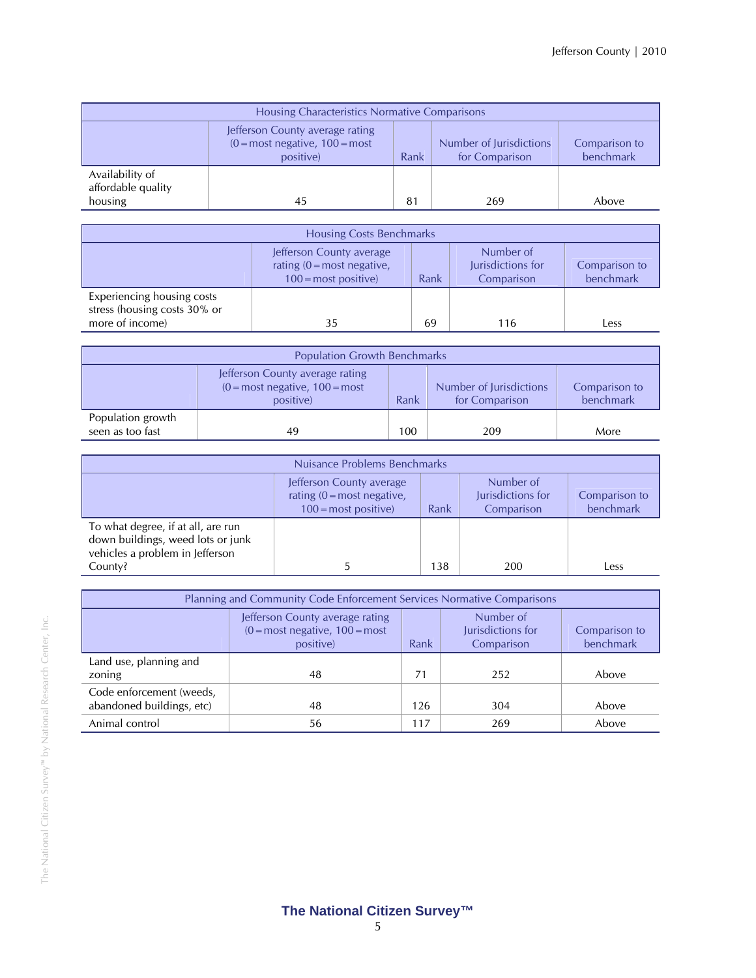| Housing Characteristics Normative Comparisons    |                                                                                                                                                                      |                |     |       |  |  |
|--------------------------------------------------|----------------------------------------------------------------------------------------------------------------------------------------------------------------------|----------------|-----|-------|--|--|
|                                                  | Jefferson County average rating<br>$(0 = most negative, 100 = most)$<br>Number of Jurisdictions<br>Comparison to<br>benchmark<br>Rank<br>positive)<br>for Comparison |                |     |       |  |  |
| Availability of<br>affordable quality<br>housing | 45                                                                                                                                                                   | 8 <sup>1</sup> | 269 | Above |  |  |

| <b>Housing Costs Benchmarks</b>                                                                                                                                                       |    |    |     |      |  |
|---------------------------------------------------------------------------------------------------------------------------------------------------------------------------------------|----|----|-----|------|--|
| Number of<br>Jefferson County average<br>Jurisdictions for<br>rating $(0 = \text{most negative})$<br>Comparison to<br>benchmark<br>$100 = \text{most positive}$<br>Rank<br>Comparison |    |    |     |      |  |
| Experiencing housing costs<br>stress (housing costs 30% or<br>more of income)                                                                                                         | 35 | 69 | 116 | Less |  |

| <b>Population Growth Benchmarks</b>   |                                                                                                                                                                                    |     |     |      |  |
|---------------------------------------|------------------------------------------------------------------------------------------------------------------------------------------------------------------------------------|-----|-----|------|--|
|                                       | Jefferson County average rating<br>$(0 = \text{most negative}, 100 = \text{most})$<br>Number of Jurisdictions<br>Comparison to<br>benchmark<br>Rank<br>for Comparison<br>positive) |     |     |      |  |
| Population growth<br>seen as too fast | 49                                                                                                                                                                                 | 100 | 209 | More |  |

| Nuisance Problems Benchmarks                                                                                          |                                                                                                 |      |                                              |                            |
|-----------------------------------------------------------------------------------------------------------------------|-------------------------------------------------------------------------------------------------|------|----------------------------------------------|----------------------------|
|                                                                                                                       | Jefferson County average<br>rating $(0 = \text{most negative})$<br>$100 = \text{most positive}$ | Rank | Number of<br>Jurisdictions for<br>Comparison | Comparison to<br>benchmark |
| To what degree, if at all, are run<br>down buildings, weed lots or junk<br>vehicles a problem in Jefferson<br>County? | b.                                                                                              | 138  | 200                                          | Less                       |

| Planning and Community Code Enforcement Services Normative Comparisons |                                                                                                                                                                                       |     |     |       |  |  |
|------------------------------------------------------------------------|---------------------------------------------------------------------------------------------------------------------------------------------------------------------------------------|-----|-----|-------|--|--|
|                                                                        | Number of<br>Jefferson County average rating<br>Jurisdictions for<br>$(0 = \text{most negative}, 100 = \text{most})$<br>Comparison to<br>benchmark<br>Rank<br>Comparison<br>positive) |     |     |       |  |  |
| Land use, planning and<br>zoning                                       | 48                                                                                                                                                                                    | 71  | 252 | Above |  |  |
| Code enforcement (weeds,<br>abandoned buildings, etc)                  | 48                                                                                                                                                                                    | 126 | 304 | Above |  |  |
| Animal control                                                         | 56                                                                                                                                                                                    | 117 | 269 | Above |  |  |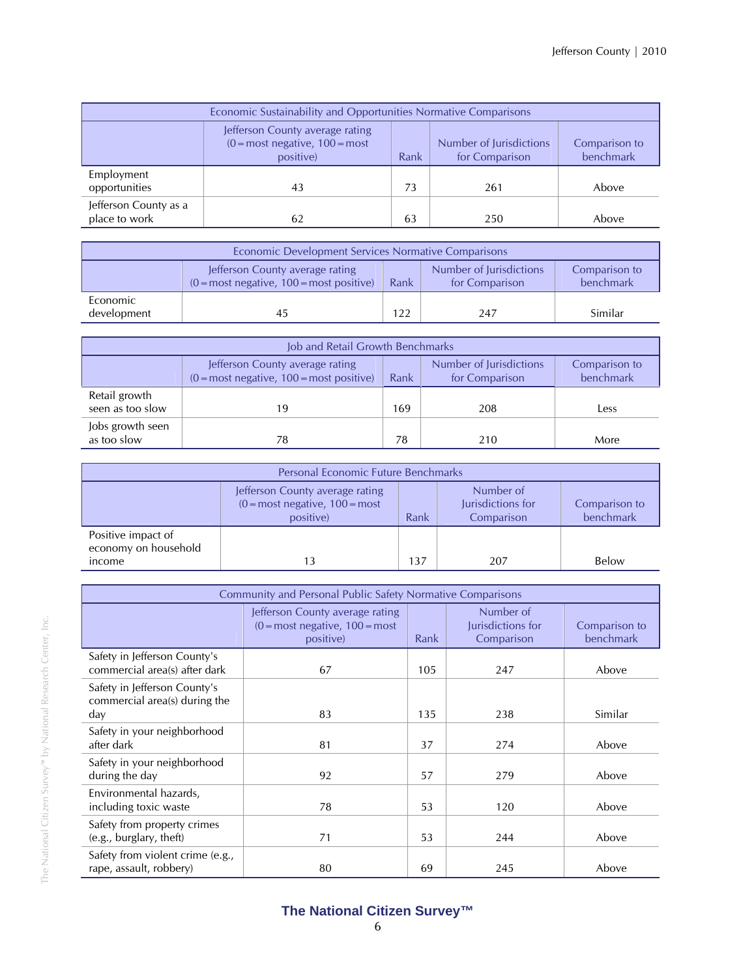| Economic Sustainability and Opportunities Normative Comparisons |                                                                                                                                                                                    |    |     |       |  |  |  |
|-----------------------------------------------------------------|------------------------------------------------------------------------------------------------------------------------------------------------------------------------------------|----|-----|-------|--|--|--|
|                                                                 | Jefferson County average rating<br>$(0 = \text{most negative}, 100 = \text{most})$<br>Number of Jurisdictions<br>Comparison to<br>benchmark<br>for Comparison<br>positive)<br>Rank |    |     |       |  |  |  |
| Employment<br>opportunities                                     | 43                                                                                                                                                                                 | 73 | 261 | Above |  |  |  |
| Jefferson County as a<br>place to work                          | 62                                                                                                                                                                                 | 63 | 250 | Above |  |  |  |

| Economic Development Services Normative Comparisons |                                                                                                                                                                                |     |     |         |  |  |
|-----------------------------------------------------|--------------------------------------------------------------------------------------------------------------------------------------------------------------------------------|-----|-----|---------|--|--|
|                                                     | Number of Jurisdictions<br>Jefferson County average rating<br>Comparison to<br>benchmark<br>$(0 = \text{most negative}, 100 = \text{most positive})$<br>Rank<br>for Comparison |     |     |         |  |  |
| Economic<br>development                             | 45                                                                                                                                                                             | 122 | 247 | Similar |  |  |

| Job and Retail Growth Benchmarks  |                                                                                                                                                                  |     |     |      |  |  |
|-----------------------------------|------------------------------------------------------------------------------------------------------------------------------------------------------------------|-----|-----|------|--|--|
|                                   | Number of Jurisdictions<br>Jefferson County average rating<br>Comparison to<br>benchmark<br>$(0 = most negative, 100 = most positive)$<br>for Comparison<br>Rank |     |     |      |  |  |
| Retail growth<br>seen as too slow | 19                                                                                                                                                               | 169 | 208 | Less |  |  |
| Jobs growth seen<br>as too slow   | 78                                                                                                                                                               | 78  | 210 | More |  |  |

| <b>Personal Economic Future Benchmarks</b> |                                                                                                                                                                                       |     |     |       |  |  |
|--------------------------------------------|---------------------------------------------------------------------------------------------------------------------------------------------------------------------------------------|-----|-----|-------|--|--|
|                                            | Number of<br>Jefferson County average rating<br>$(0 = \text{most negative}, 100 = \text{most})$<br>Jurisdictions for<br>Comparison to<br>benchmark<br>Rank<br>positive)<br>Comparison |     |     |       |  |  |
| Positive impact of<br>economy on household |                                                                                                                                                                                       |     |     |       |  |  |
| income                                     | 13                                                                                                                                                                                    | 137 | 207 | Below |  |  |

| Community and Personal Public Safety Normative Comparisons           |                                                                                  |      |                                              |                            |  |
|----------------------------------------------------------------------|----------------------------------------------------------------------------------|------|----------------------------------------------|----------------------------|--|
|                                                                      | Jefferson County average rating<br>$(0 = most negative, 100 = most$<br>positive) | Rank | Number of<br>Jurisdictions for<br>Comparison | Comparison to<br>benchmark |  |
| Safety in Jefferson County's<br>commercial area(s) after dark        | 67                                                                               | 105  | 247                                          | Above                      |  |
| Safety in Jefferson County's<br>commercial area(s) during the<br>day | 83                                                                               | 135  | 238                                          | Similar                    |  |
| Safety in your neighborhood<br>after dark                            | 81                                                                               | 37   | 274                                          | Above                      |  |
| Safety in your neighborhood<br>during the day                        | 92                                                                               | 57   | 279                                          | Above                      |  |
| Environmental hazards,<br>including toxic waste                      | 78                                                                               | 53   | 120                                          | Above                      |  |
| Safety from property crimes<br>(e.g., burglary, theft)               | 71                                                                               | 53   | 244                                          | Above                      |  |
| Safety from violent crime (e.g.,<br>rape, assault, robbery)          | 80                                                                               | 69   | 245                                          | Above                      |  |

The National Citizen Survey™ by National Research Center, Inc.

The National Citizen Survey<sup>30</sup> by National Research Center, Inc.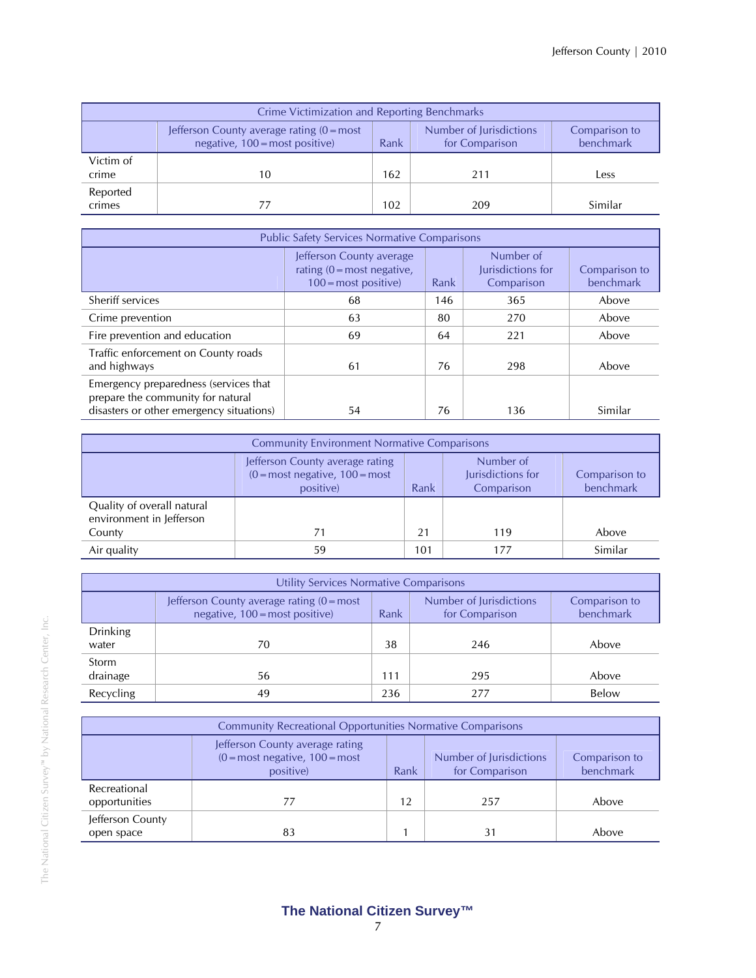| Crime Victimization and Reporting Benchmarks |                                                                                                                                                                          |     |     |         |  |  |
|----------------------------------------------|--------------------------------------------------------------------------------------------------------------------------------------------------------------------------|-----|-----|---------|--|--|
|                                              | Number of Jurisdictions<br>Jefferson County average rating $(0 = most$<br>Comparison to<br>benchmark<br>negative, $100 = \text{most positive}$<br>for Comparison<br>Rank |     |     |         |  |  |
| Victim of<br>crime                           | 10                                                                                                                                                                       | 162 | 211 | Less    |  |  |
| Reported<br>crimes                           |                                                                                                                                                                          | 102 | 209 | Similar |  |  |

| <b>Public Safety Services Normative Comparisons</b>                                                                    |                                                                                                 |      |                                              |                            |  |  |
|------------------------------------------------------------------------------------------------------------------------|-------------------------------------------------------------------------------------------------|------|----------------------------------------------|----------------------------|--|--|
|                                                                                                                        | Jefferson County average<br>rating $(0 = \text{most negative})$<br>$100 = \text{most positive}$ | Rank | Number of<br>Jurisdictions for<br>Comparison | Comparison to<br>benchmark |  |  |
| Sheriff services                                                                                                       | 68                                                                                              | 146  | 365                                          | Above                      |  |  |
| Crime prevention                                                                                                       | 63                                                                                              | 80   | 270                                          | Above                      |  |  |
| Fire prevention and education                                                                                          | 69                                                                                              | 64   | 221                                          | Above                      |  |  |
| Traffic enforcement on County roads<br>and highways                                                                    | 61                                                                                              | 76   | 298                                          | Above                      |  |  |
| Emergency preparedness (services that<br>prepare the community for natural<br>disasters or other emergency situations) | 54                                                                                              | 76   | 136                                          | Similar                    |  |  |

| <b>Community Environment Normative Comparisons</b>     |                                                                                                                                                                         |     |     |         |  |  |  |
|--------------------------------------------------------|-------------------------------------------------------------------------------------------------------------------------------------------------------------------------|-----|-----|---------|--|--|--|
|                                                        | Number of<br>Jefferson County average rating<br>$(0 = most negative, 100 = most)$<br>Jurisdictions for<br>Comparison to<br>benchmark<br>Comparison<br>positive)<br>Rank |     |     |         |  |  |  |
| Quality of overall natural<br>environment in Jefferson |                                                                                                                                                                         |     |     |         |  |  |  |
| County                                                 | 71                                                                                                                                                                      | 21  | 119 | Above   |  |  |  |
| Air quality                                            | 59                                                                                                                                                                      | 101 | 177 | Similar |  |  |  |

| Utility Services Normative Comparisons |                                                                                       |      |                                           |                            |  |
|----------------------------------------|---------------------------------------------------------------------------------------|------|-------------------------------------------|----------------------------|--|
|                                        | Jefferson County average rating $(0 = most$<br>negative, $100 = \text{most positive}$ | Rank | Number of Jurisdictions<br>for Comparison | Comparison to<br>benchmark |  |
| <b>Drinking</b><br>water               | 70                                                                                    | 38   | 246                                       | Above                      |  |
| Storm<br>drainage                      | 56                                                                                    | 111  | 295                                       | Above                      |  |
| Recycling                              | 49                                                                                    | 236  | 277                                       | Below                      |  |

| <b>Community Recreational Opportunities Normative Comparisons</b> |                                                                                                                                                                                    |    |     |       |  |  |
|-------------------------------------------------------------------|------------------------------------------------------------------------------------------------------------------------------------------------------------------------------------|----|-----|-------|--|--|
|                                                                   | Jefferson County average rating<br>$(0 = \text{most negative}, 100 = \text{most})$<br>Number of Jurisdictions<br>Comparison to<br>benchmark<br>for Comparison<br>positive)<br>Rank |    |     |       |  |  |
| Recreational<br>opportunities                                     |                                                                                                                                                                                    | 12 | 257 | Above |  |  |
| Jefferson County<br>open space                                    | 83                                                                                                                                                                                 |    | 31  | Above |  |  |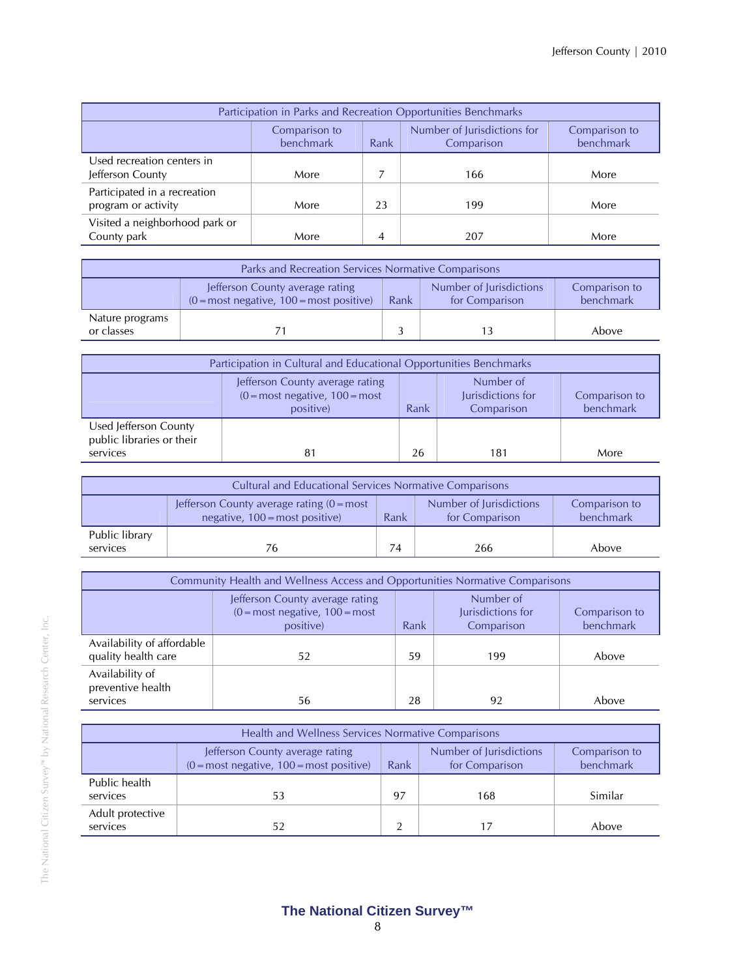| Participation in Parks and Recreation Opportunities Benchmarks |                                                                                                               |                |     |      |  |  |  |
|----------------------------------------------------------------|---------------------------------------------------------------------------------------------------------------|----------------|-----|------|--|--|--|
|                                                                | Number of Jurisdictions for<br>Comparison to<br>Comparison to<br>benchmark<br>benchmark<br>Rank<br>Comparison |                |     |      |  |  |  |
| Used recreation centers in<br>Jefferson County                 | More                                                                                                          |                | 166 | More |  |  |  |
| Participated in a recreation<br>program or activity            | More                                                                                                          | 23             | 199 | More |  |  |  |
| Visited a neighborhood park or<br>County park                  | More                                                                                                          | $\overline{4}$ | 207 | More |  |  |  |

| Parks and Recreation Services Normative Comparisons |                                                                                                                                                                                |  |  |       |  |  |
|-----------------------------------------------------|--------------------------------------------------------------------------------------------------------------------------------------------------------------------------------|--|--|-------|--|--|
|                                                     | Number of Jurisdictions<br>Jefferson County average rating<br>Comparison to<br>benchmark<br>$(0 = \text{most negative}, 100 = \text{most positive})$<br>for Comparison<br>Rank |  |  |       |  |  |
| Nature programs<br>or classes                       |                                                                                                                                                                                |  |  | Above |  |  |

| Participation in Cultural and Educational Opportunities Benchmarks |                                                                                                                                                                                       |    |     |      |  |
|--------------------------------------------------------------------|---------------------------------------------------------------------------------------------------------------------------------------------------------------------------------------|----|-----|------|--|
|                                                                    | Number of<br>Jefferson County average rating<br>$(0 = \text{most negative}, 100 = \text{most})$<br>Jurisdictions for<br>Comparison to<br>benchmark<br>Rank<br>Comparison<br>positive) |    |     |      |  |
| Used Jefferson County<br>public libraries or their<br>services     |                                                                                                                                                                                       | 26 | 181 | More |  |

| <b>Cultural and Educational Services Normative Comparisons</b> |                                                                                                                                                                          |    |     |       |  |
|----------------------------------------------------------------|--------------------------------------------------------------------------------------------------------------------------------------------------------------------------|----|-----|-------|--|
|                                                                | Number of Jurisdictions<br>Jefferson County average rating $(0 = most$<br>Comparison to<br>benchmark<br>negative, $100 = \text{most positive}$<br>Rank<br>for Comparison |    |     |       |  |
| Public library<br>services                                     | 76                                                                                                                                                                       | 74 | 266 | Above |  |

| <b>Community Health and Wellness Access and Opportunities Normative Comparisons</b> |                                                                                   |      |                                              |                            |
|-------------------------------------------------------------------------------------|-----------------------------------------------------------------------------------|------|----------------------------------------------|----------------------------|
|                                                                                     | Jefferson County average rating<br>$(0 = most negative, 100 = most)$<br>positive) | Rank | Number of<br>Jurisdictions for<br>Comparison | Comparison to<br>benchmark |
| Availability of affordable<br>quality health care                                   | 52                                                                                | 59   | 199                                          | Above                      |
| Availability of<br>preventive health<br>services                                    | 56                                                                                | 28   | 92                                           | Above                      |

| Health and Wellness Services Normative Comparisons |                                                                                                                                                                  |    |     |         |  |  |
|----------------------------------------------------|------------------------------------------------------------------------------------------------------------------------------------------------------------------|----|-----|---------|--|--|
|                                                    | Number of Jurisdictions<br>Jefferson County average rating<br>Comparison to<br>benchmark<br>$(0 = most negative, 100 = most positive)$<br>for Comparison<br>Rank |    |     |         |  |  |
| Public health<br>services                          | 53                                                                                                                                                               | 97 | 168 | Similar |  |  |
| Adult protective<br>services                       | 52                                                                                                                                                               |    |     | Above   |  |  |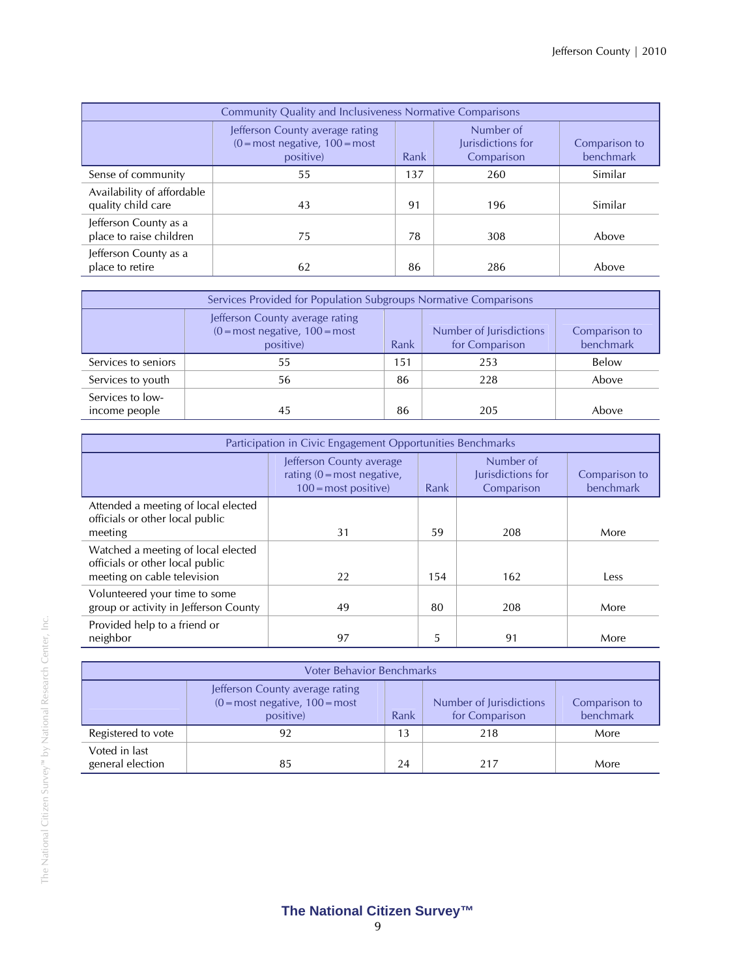| <b>Community Quality and Inclusiveness Normative Comparisons</b> |                                                                                   |      |                                              |                            |
|------------------------------------------------------------------|-----------------------------------------------------------------------------------|------|----------------------------------------------|----------------------------|
|                                                                  | Jefferson County average rating<br>$(0 = most negative, 100 = most)$<br>positive) | Rank | Number of<br>Jurisdictions for<br>Comparison | Comparison to<br>benchmark |
| Sense of community                                               | 55                                                                                | 137  | 260                                          | Similar                    |
| Availability of affordable<br>quality child care                 | 43                                                                                | 91   | 196                                          | Similar                    |
| Jefferson County as a<br>place to raise children                 | 75                                                                                | 78   | 308                                          | Above                      |
| Jefferson County as a<br>place to retire                         | 62                                                                                | 86   | 286                                          | Above                      |

| Services Provided for Population Subgroups Normative Comparisons |                                                                                                                                                                                    |     |     |       |  |  |
|------------------------------------------------------------------|------------------------------------------------------------------------------------------------------------------------------------------------------------------------------------|-----|-----|-------|--|--|
|                                                                  | Jefferson County average rating<br>$(0 = \text{most negative}, 100 = \text{most})$<br>Number of Jurisdictions<br>Comparison to<br>benchmark<br>for Comparison<br>positive)<br>Rank |     |     |       |  |  |
| Services to seniors                                              | 55                                                                                                                                                                                 | 151 | 253 | Below |  |  |
| Services to youth                                                | 56                                                                                                                                                                                 | 86  | 228 | Above |  |  |
| Services to low-<br>income people                                | 45                                                                                                                                                                                 | 86  | 205 | Above |  |  |

| Participation in Civic Engagement Opportunities Benchmarks                                           |                                                                                                   |      |                                              |                            |  |
|------------------------------------------------------------------------------------------------------|---------------------------------------------------------------------------------------------------|------|----------------------------------------------|----------------------------|--|
|                                                                                                      | Jefferson County average<br>rating $(0 = \text{most negative})$ .<br>$100 = \text{most positive}$ | Rank | Number of<br>Jurisdictions for<br>Comparison | Comparison to<br>benchmark |  |
| Attended a meeting of local elected<br>officials or other local public<br>meeting                    | 31                                                                                                | 59   | 208                                          | More                       |  |
| Watched a meeting of local elected<br>officials or other local public<br>meeting on cable television | 22                                                                                                | 154  | 162                                          | Less                       |  |
| Volunteered your time to some<br>group or activity in Jefferson County                               | 49                                                                                                | 80   | 208                                          | More                       |  |
| Provided help to a friend or<br>neighbor                                                             | 97                                                                                                | 5    | 91                                           | More                       |  |

| <b>Voter Behavior Benchmarks</b>  |                                                                                                                                                                      |    |     |      |  |  |
|-----------------------------------|----------------------------------------------------------------------------------------------------------------------------------------------------------------------|----|-----|------|--|--|
|                                   | Jefferson County average rating<br>$(0 = most negative, 100 = most)$<br>Number of Jurisdictions<br>Comparison to<br>benchmark<br>for Comparison<br>Rank<br>positive) |    |     |      |  |  |
| Registered to vote                | 92                                                                                                                                                                   | 13 | 218 | More |  |  |
| Voted in last<br>general election | 85                                                                                                                                                                   | 24 | 217 | More |  |  |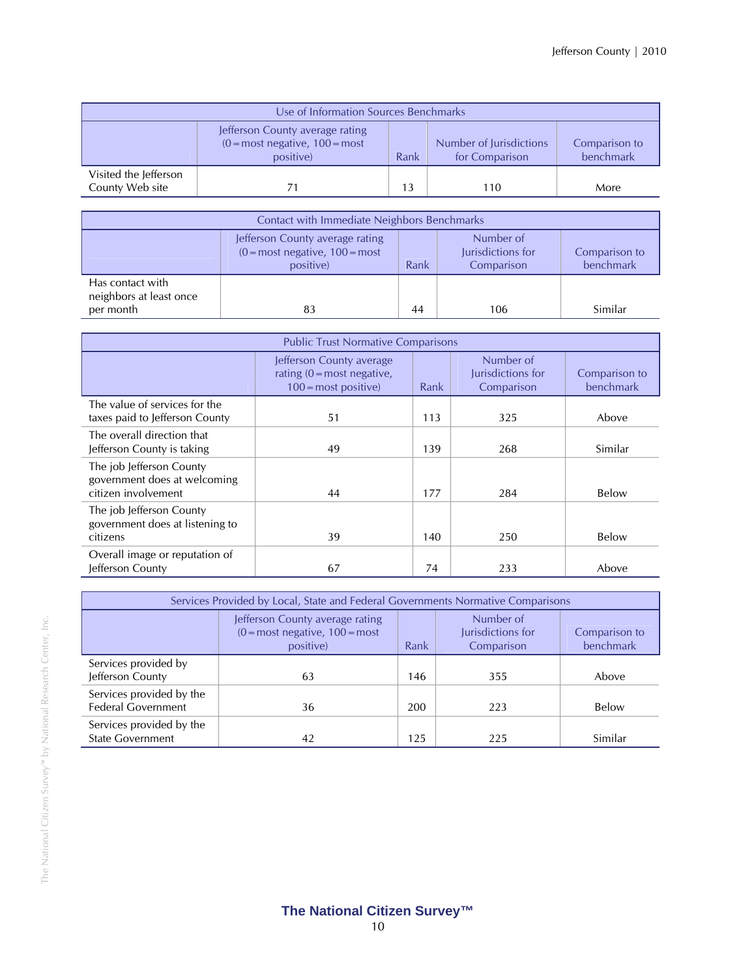| Use of Information Sources Benchmarks    |                                                                                                 |      |                                           |                            |
|------------------------------------------|-------------------------------------------------------------------------------------------------|------|-------------------------------------------|----------------------------|
|                                          | Jefferson County average rating<br>$(0 = \text{most negative}, 100 = \text{most})$<br>positive) | Rank | Number of Jurisdictions<br>for Comparison | Comparison to<br>benchmark |
| Visited the Jefferson<br>County Web site | 71                                                                                              | 13   | 110                                       | More                       |

| Contact with Immediate Neighbors Benchmarks              |                                                                                                                                                                         |    |     |         |  |
|----------------------------------------------------------|-------------------------------------------------------------------------------------------------------------------------------------------------------------------------|----|-----|---------|--|
|                                                          | Number of<br>Jefferson County average rating<br>$(0 = most negative, 100 = most)$<br>Jurisdictions for<br>Comparison to<br>benchmark<br>Rank<br>positive)<br>Comparison |    |     |         |  |
| Has contact with<br>neighbors at least once<br>per month | 83                                                                                                                                                                      | 44 | 106 | Similar |  |

| <b>Public Trust Normative Comparisons</b>                                       |                                                                                                 |      |                                              |                            |  |
|---------------------------------------------------------------------------------|-------------------------------------------------------------------------------------------------|------|----------------------------------------------|----------------------------|--|
|                                                                                 | Jefferson County average<br>rating $(0 = \text{most negative})$<br>$100 = \text{most positive}$ | Rank | Number of<br>Jurisdictions for<br>Comparison | Comparison to<br>benchmark |  |
| The value of services for the<br>taxes paid to Jefferson County                 | 51                                                                                              | 113  | 325                                          | Above                      |  |
| The overall direction that<br>Jefferson County is taking                        | 49                                                                                              | 139  | 268                                          | Similar                    |  |
| The job Jefferson County<br>government does at welcoming<br>citizen involvement | 44                                                                                              | 177  | 284                                          | Below                      |  |
| The job Jefferson County<br>government does at listening to<br>citizens         | 39                                                                                              | 140  | 250                                          | Below                      |  |
| Overall image or reputation of<br>Jefferson County                              | 67                                                                                              | 74   | 233                                          | Above                      |  |

| Services Provided by Local, State and Federal Governments Normative Comparisons |                                                                                   |      |                                              |                            |
|---------------------------------------------------------------------------------|-----------------------------------------------------------------------------------|------|----------------------------------------------|----------------------------|
|                                                                                 | Jefferson County average rating<br>$(0 = most negative, 100 = most)$<br>positive) | Rank | Number of<br>Jurisdictions for<br>Comparison | Comparison to<br>benchmark |
| Services provided by<br>Jefferson County                                        | 63                                                                                | 146  | 355                                          | Above                      |
| Services provided by the<br><b>Federal Government</b>                           | 36                                                                                | 200  | 223                                          | Below                      |
| Services provided by the<br><b>State Government</b>                             | 42                                                                                | 125  | 225                                          | Similar                    |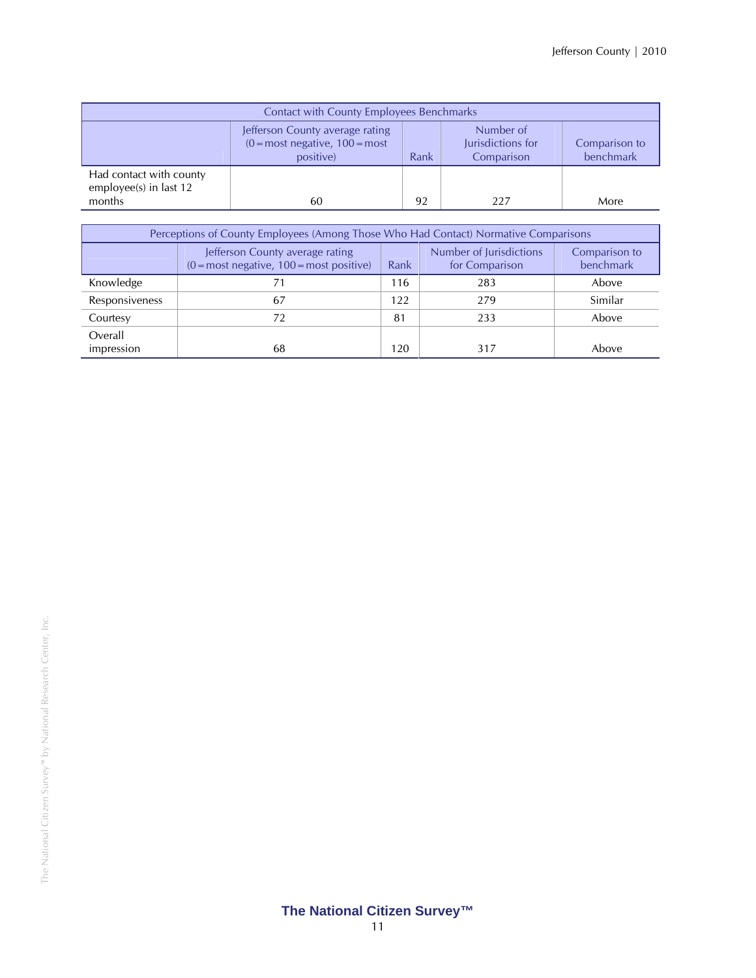| <b>Contact with County Employees Benchmarks</b>             |                                                                                                 |      |                                              |                            |
|-------------------------------------------------------------|-------------------------------------------------------------------------------------------------|------|----------------------------------------------|----------------------------|
|                                                             | Jefferson County average rating<br>$(0 = \text{most negative}, 100 = \text{most})$<br>positive) | Rank | Number of<br>Jurisdictions for<br>Comparison | Comparison to<br>benchmark |
| Had contact with county<br>employee(s) in last 12<br>months | 60                                                                                              | 92   | 227                                          | More                       |

| Perceptions of County Employees (Among Those Who Had Contact) Normative Comparisons |                                                                                             |      |                                           |                            |
|-------------------------------------------------------------------------------------|---------------------------------------------------------------------------------------------|------|-------------------------------------------|----------------------------|
|                                                                                     | Jefferson County average rating<br>$(0 = \text{most negative}, 100 = \text{most positive})$ | Rank | Number of Jurisdictions<br>for Comparison | Comparison to<br>benchmark |
| Knowledge                                                                           |                                                                                             | 116  | 283                                       | Above                      |
| Responsiveness                                                                      | 67                                                                                          | 122  | 279                                       | Similar                    |
| Courtesy                                                                            | 72                                                                                          | 81   | 233                                       | Above                      |
| Overall<br>impression                                                               | 68                                                                                          | 120  | 317                                       | Above                      |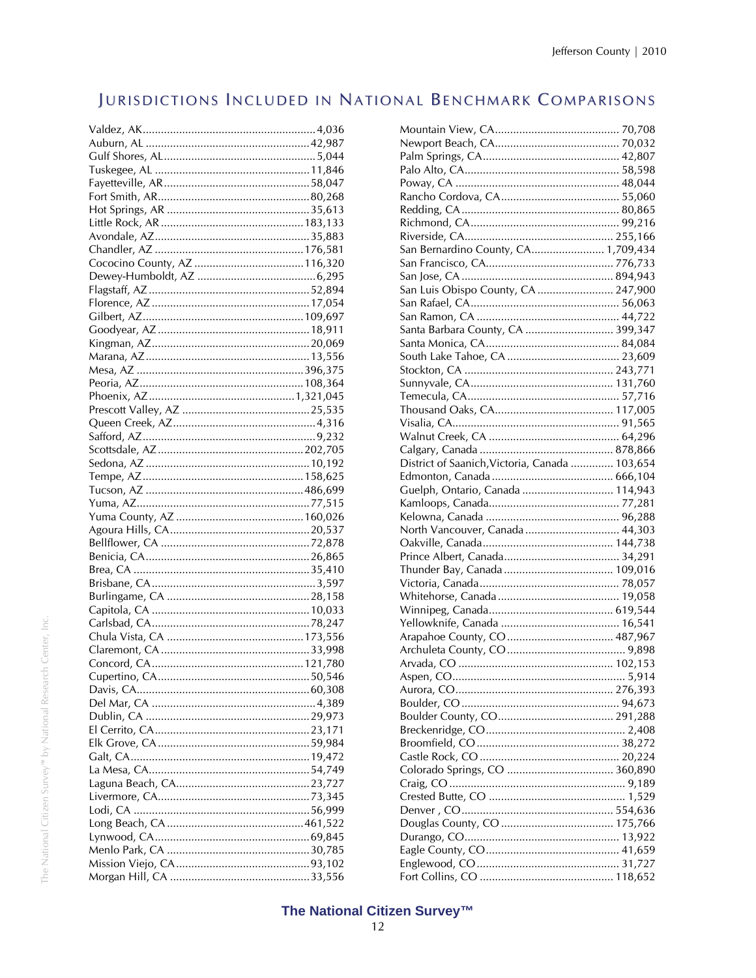# JURISDICTIONS INCLUDED IN NATIONAL BENCHMARK COMPARISONS

| San Bernardino County, CA 1,709,434            |  |
|------------------------------------------------|--|
|                                                |  |
|                                                |  |
| San Luis Obispo County, CA  247,900            |  |
|                                                |  |
|                                                |  |
| Santa Barbara County, CA  399,347              |  |
|                                                |  |
|                                                |  |
|                                                |  |
|                                                |  |
|                                                |  |
|                                                |  |
|                                                |  |
|                                                |  |
|                                                |  |
| District of Saanich, Victoria, Canada  103,654 |  |
|                                                |  |
| Guelph, Ontario, Canada  114,943               |  |
|                                                |  |
|                                                |  |
|                                                |  |
|                                                |  |
| North Vancouver, Canada  44,303                |  |
|                                                |  |
|                                                |  |
|                                                |  |
|                                                |  |
|                                                |  |
|                                                |  |
|                                                |  |
|                                                |  |
|                                                |  |
|                                                |  |
|                                                |  |
|                                                |  |
|                                                |  |
|                                                |  |
|                                                |  |
|                                                |  |
|                                                |  |
|                                                |  |
|                                                |  |
|                                                |  |
|                                                |  |
|                                                |  |
|                                                |  |
|                                                |  |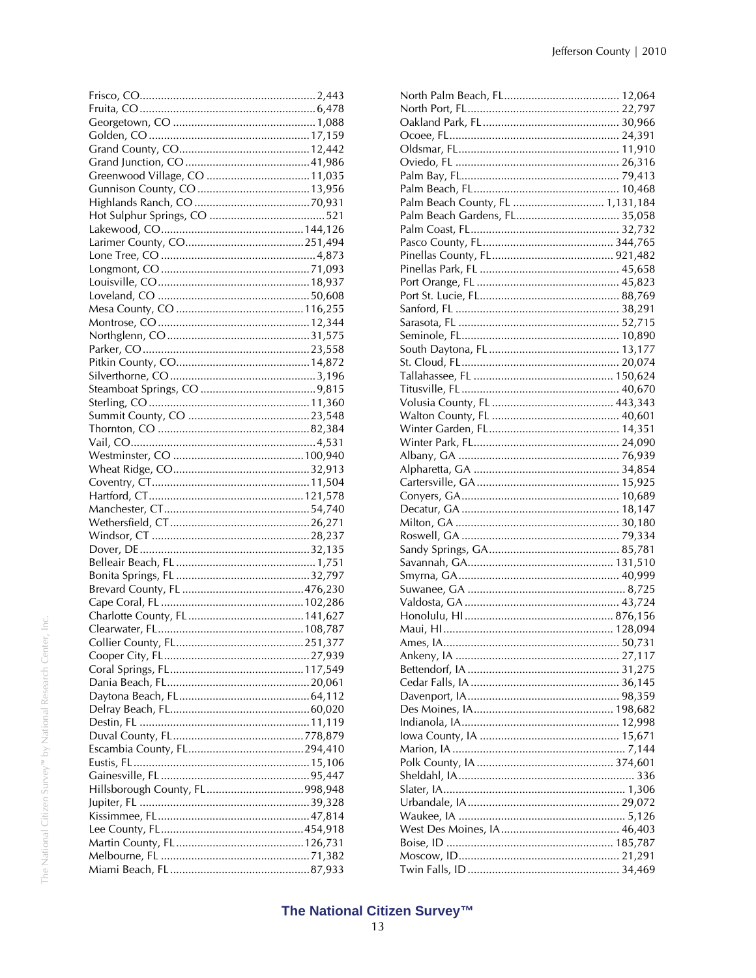| Palm Beach County, FL  1,131,184 |
|----------------------------------|
| Palm Beach Gardens, FL 35,058    |
|                                  |
|                                  |
|                                  |
|                                  |
|                                  |
|                                  |
|                                  |
|                                  |
|                                  |
|                                  |
|                                  |
|                                  |
|                                  |
|                                  |
|                                  |
|                                  |
|                                  |
|                                  |
|                                  |
|                                  |
|                                  |
|                                  |
|                                  |
|                                  |
|                                  |
|                                  |
|                                  |
|                                  |
|                                  |
|                                  |
|                                  |
|                                  |
|                                  |
|                                  |
|                                  |
|                                  |
|                                  |
|                                  |
|                                  |
|                                  |
|                                  |
|                                  |
|                                  |
|                                  |
|                                  |
|                                  |
|                                  |
|                                  |
|                                  |
|                                  |
|                                  |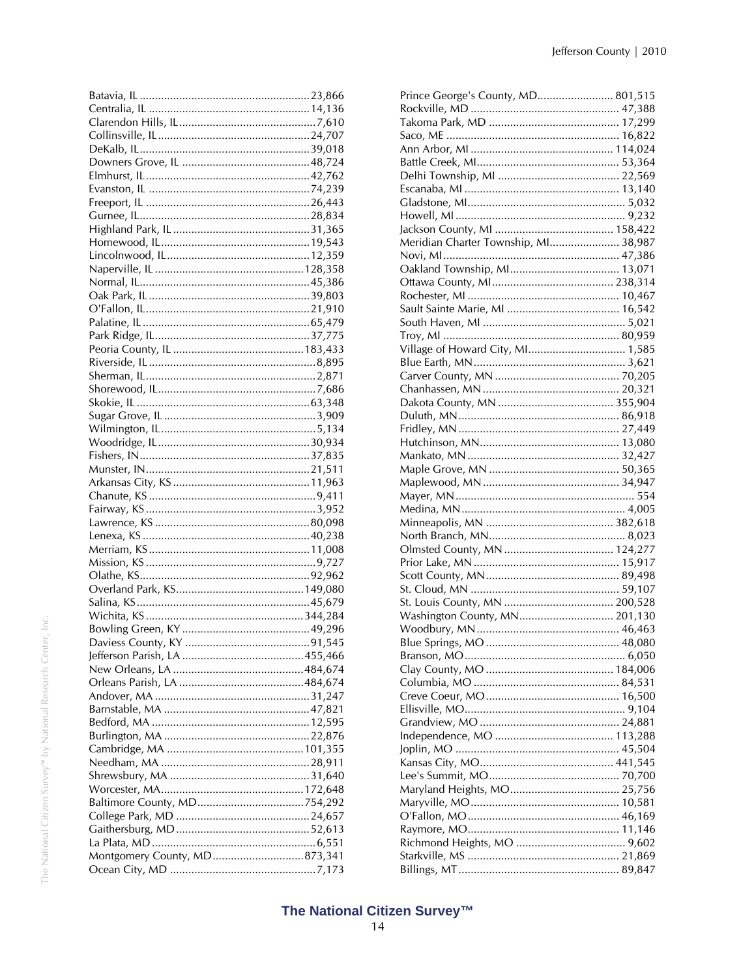| Montgomery County, MD873,341 |  |
|------------------------------|--|
|                              |  |

| Prince George's County, MD 801,515   |  |
|--------------------------------------|--|
|                                      |  |
|                                      |  |
|                                      |  |
|                                      |  |
|                                      |  |
|                                      |  |
|                                      |  |
|                                      |  |
|                                      |  |
|                                      |  |
| Meridian Charter Township, MI 38,987 |  |
|                                      |  |
|                                      |  |
|                                      |  |
|                                      |  |
|                                      |  |
|                                      |  |
|                                      |  |
|                                      |  |
| Village of Howard City, MI 1,585     |  |
|                                      |  |
|                                      |  |
|                                      |  |
|                                      |  |
|                                      |  |
|                                      |  |
|                                      |  |
|                                      |  |
|                                      |  |
|                                      |  |
|                                      |  |
|                                      |  |
|                                      |  |
|                                      |  |
|                                      |  |
|                                      |  |
|                                      |  |
|                                      |  |
|                                      |  |
|                                      |  |
|                                      |  |
| Washington County, MN 201,130        |  |
|                                      |  |
|                                      |  |
|                                      |  |
|                                      |  |
|                                      |  |
|                                      |  |
|                                      |  |
|                                      |  |
|                                      |  |
|                                      |  |
|                                      |  |
|                                      |  |
|                                      |  |
|                                      |  |
|                                      |  |
|                                      |  |
|                                      |  |
|                                      |  |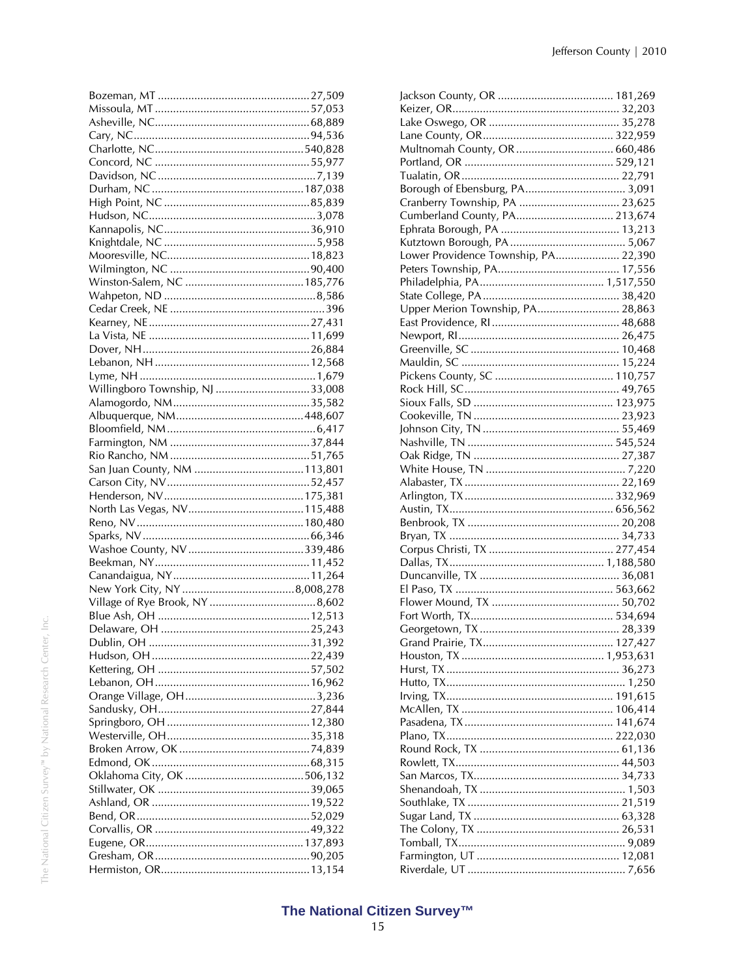| Willingboro Township, NJ 33,008 |  |
|---------------------------------|--|
|                                 |  |
|                                 |  |
|                                 |  |
|                                 |  |
|                                 |  |
|                                 |  |
|                                 |  |
|                                 |  |
|                                 |  |
|                                 |  |
|                                 |  |
|                                 |  |
|                                 |  |
|                                 |  |
|                                 |  |
|                                 |  |
|                                 |  |
|                                 |  |
|                                 |  |
|                                 |  |
|                                 |  |
|                                 |  |
|                                 |  |
|                                 |  |
|                                 |  |
|                                 |  |
|                                 |  |
|                                 |  |
|                                 |  |
|                                 |  |
|                                 |  |
|                                 |  |
|                                 |  |
|                                 |  |
|                                 |  |
|                                 |  |
|                                 |  |

| Multnomah County, OR  660,486        |  |
|--------------------------------------|--|
|                                      |  |
|                                      |  |
|                                      |  |
| Cranberry Township, PA  23,625       |  |
| Cumberland County, PA 213,674        |  |
|                                      |  |
|                                      |  |
| Lower Providence Township, PA 22,390 |  |
|                                      |  |
|                                      |  |
|                                      |  |
| Upper Merion Township, PA 28,863     |  |
|                                      |  |
|                                      |  |
|                                      |  |
|                                      |  |
|                                      |  |
|                                      |  |
|                                      |  |
|                                      |  |
|                                      |  |
|                                      |  |
|                                      |  |
|                                      |  |
|                                      |  |
|                                      |  |
|                                      |  |
|                                      |  |
|                                      |  |
|                                      |  |
|                                      |  |
|                                      |  |
|                                      |  |
|                                      |  |
|                                      |  |
|                                      |  |
|                                      |  |
|                                      |  |
|                                      |  |
|                                      |  |
|                                      |  |
|                                      |  |
|                                      |  |
|                                      |  |
|                                      |  |
|                                      |  |
|                                      |  |
|                                      |  |
|                                      |  |
|                                      |  |
|                                      |  |
|                                      |  |
|                                      |  |
|                                      |  |
|                                      |  |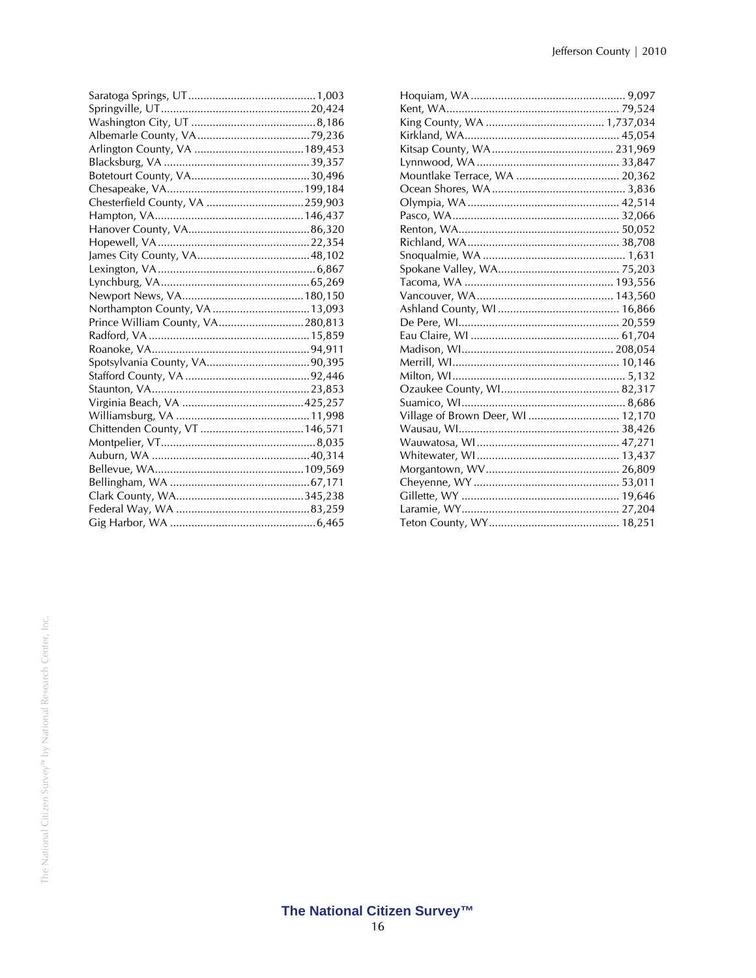| Chesterfield County, VA 259,903  |  |
|----------------------------------|--|
|                                  |  |
|                                  |  |
|                                  |  |
|                                  |  |
|                                  |  |
|                                  |  |
|                                  |  |
|                                  |  |
| Prince William County, VA280,813 |  |
|                                  |  |
|                                  |  |
|                                  |  |
|                                  |  |
|                                  |  |
|                                  |  |
|                                  |  |
|                                  |  |
|                                  |  |
|                                  |  |
|                                  |  |
|                                  |  |
|                                  |  |
|                                  |  |
|                                  |  |

| Mountlake Terrace, WA  20,362     |  |
|-----------------------------------|--|
|                                   |  |
|                                   |  |
|                                   |  |
|                                   |  |
|                                   |  |
|                                   |  |
|                                   |  |
|                                   |  |
|                                   |  |
|                                   |  |
|                                   |  |
|                                   |  |
|                                   |  |
|                                   |  |
|                                   |  |
|                                   |  |
|                                   |  |
| Village of Brown Deer, WI  12,170 |  |
|                                   |  |
|                                   |  |
|                                   |  |
|                                   |  |
|                                   |  |
|                                   |  |
|                                   |  |
|                                   |  |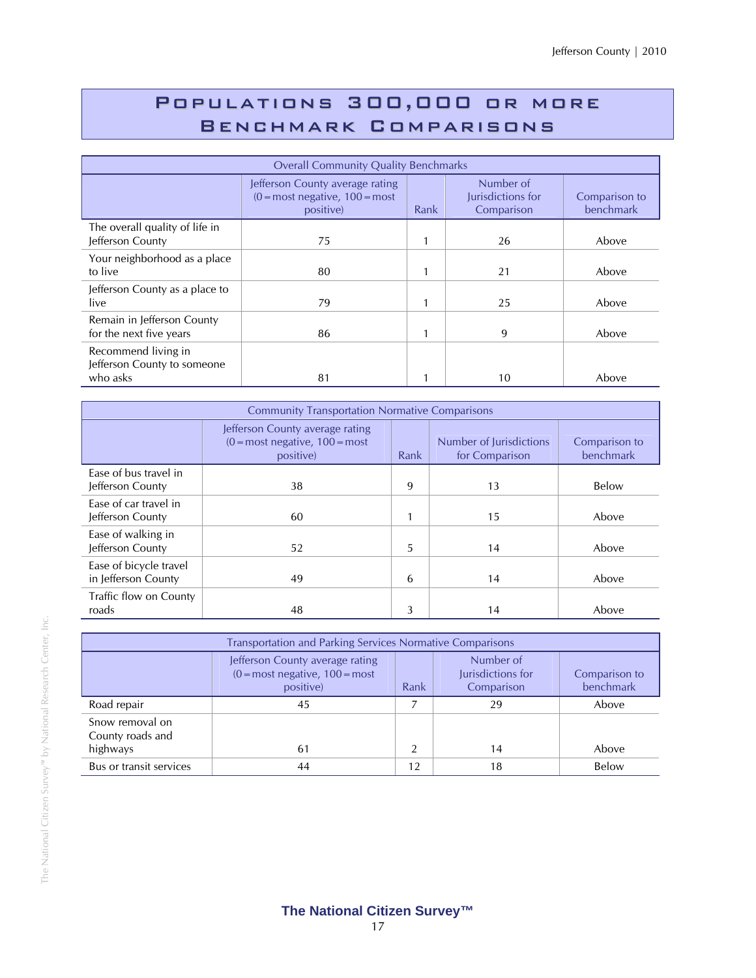# Populations 300,000 or more Benchmark Comparisons

| <b>Overall Community Quality Benchmarks</b>                    |                                                                                                 |      |                                              |                            |  |
|----------------------------------------------------------------|-------------------------------------------------------------------------------------------------|------|----------------------------------------------|----------------------------|--|
|                                                                | Jefferson County average rating<br>$(0 = \text{most negative}, 100 = \text{most})$<br>positive) | Rank | Number of<br>Jurisdictions for<br>Comparison | Comparison to<br>benchmark |  |
| The overall quality of life in<br>Jefferson County             | 75                                                                                              |      | 26                                           | Above                      |  |
| Your neighborhood as a place<br>to live                        | 80                                                                                              | 1    | 21                                           | Above                      |  |
| Jefferson County as a place to<br>live                         | 79                                                                                              | 1    | 25                                           | Above                      |  |
| Remain in Jefferson County<br>for the next five years          | 86                                                                                              |      | 9                                            | Above                      |  |
| Recommend living in<br>Jefferson County to someone<br>who asks | 81                                                                                              |      | 10                                           | Above                      |  |

| <b>Community Transportation Normative Comparisons</b> |                                                                                   |      |                                           |                            |  |
|-------------------------------------------------------|-----------------------------------------------------------------------------------|------|-------------------------------------------|----------------------------|--|
|                                                       | Jefferson County average rating<br>$(0 = most negative, 100 = most)$<br>positive) | Rank | Number of Jurisdictions<br>for Comparison | Comparison to<br>benchmark |  |
| Ease of bus travel in<br>Jefferson County             | 38                                                                                | 9    | 13                                        | Below                      |  |
| Ease of car travel in<br>Jefferson County             | 60                                                                                | 1    | 15                                        | Above                      |  |
| Ease of walking in<br>Jefferson County                | 52                                                                                | 5    | 14                                        | Above                      |  |
| Ease of bicycle travel<br>in Jefferson County         | 49                                                                                | 6    | 14                                        | Above                      |  |
| Traffic flow on County<br>roads                       | 48                                                                                | 3    | 14                                        | Above                      |  |

| <b>Transportation and Parking Services Normative Comparisons</b> |                                                                                                                                                                         |    |    |       |  |  |  |
|------------------------------------------------------------------|-------------------------------------------------------------------------------------------------------------------------------------------------------------------------|----|----|-------|--|--|--|
|                                                                  | Number of<br>Jefferson County average rating<br>$(0 = most negative, 100 = most)$<br>Jurisdictions for<br>Comparison to<br>benchmark<br>positive)<br>Rank<br>Comparison |    |    |       |  |  |  |
| Road repair                                                      | 45                                                                                                                                                                      |    | 29 | Above |  |  |  |
| Snow removal on<br>County roads and<br>highways                  | 61                                                                                                                                                                      |    | 14 | Above |  |  |  |
| Bus or transit services                                          | 44                                                                                                                                                                      | 12 | 18 | Below |  |  |  |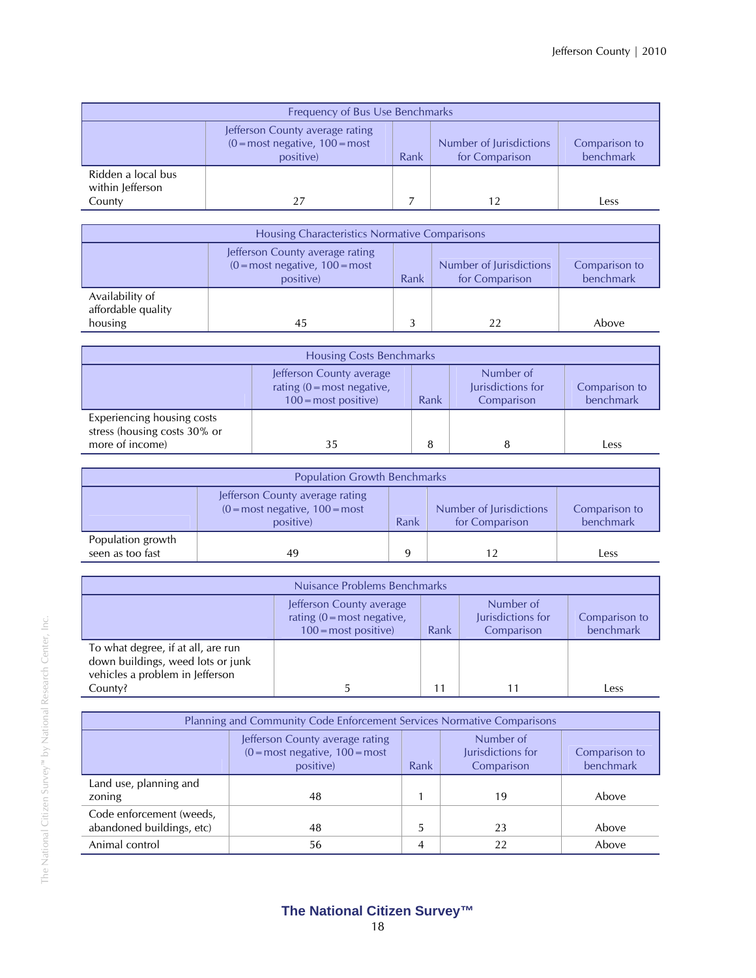| Frequency of Bus Use Benchmarks                  |                                                                                                                                                                      |  |  |      |  |  |
|--------------------------------------------------|----------------------------------------------------------------------------------------------------------------------------------------------------------------------|--|--|------|--|--|
|                                                  | Jefferson County average rating<br>$(0 = most negative, 100 = most)$<br>Number of Jurisdictions<br>Comparison to<br>benchmark<br>for Comparison<br>Rank<br>positive) |  |  |      |  |  |
| Ridden a local bus<br>within Jefferson<br>County | 27                                                                                                                                                                   |  |  | Less |  |  |

| Housing Characteristics Normative Comparisons    |                                                                                                                                                                                    |  |    |       |  |  |
|--------------------------------------------------|------------------------------------------------------------------------------------------------------------------------------------------------------------------------------------|--|----|-------|--|--|
|                                                  | Jefferson County average rating<br>Number of Jurisdictions<br>$(0 = \text{most negative}, 100 = \text{most})$<br>Comparison to<br>benchmark<br>for Comparison<br>positive)<br>Rank |  |    |       |  |  |
| Availability of<br>affordable quality<br>housing | 45                                                                                                                                                                                 |  | 22 | Above |  |  |

| <b>Housing Costs Benchmarks</b>                                                                                                                                                       |    |  |  |      |  |
|---------------------------------------------------------------------------------------------------------------------------------------------------------------------------------------|----|--|--|------|--|
| Number of<br>Jefferson County average<br>Jurisdictions for<br>rating $(0 = \text{most negative})$<br>Comparison to<br>benchmark<br>$100 = \text{most positive}$<br>Rank<br>Comparison |    |  |  |      |  |
| Experiencing housing costs<br>stress (housing costs 30% or<br>more of income)                                                                                                         | 35 |  |  | Less |  |

| <b>Population Growth Benchmarks</b>   |                                                                                                                                                                                    |   |  |      |  |
|---------------------------------------|------------------------------------------------------------------------------------------------------------------------------------------------------------------------------------|---|--|------|--|
|                                       | Jefferson County average rating<br>$(0 = \text{most negative}, 100 = \text{most})$<br>Number of Jurisdictions<br>Comparison to<br>benchmark<br>Rank<br>for Comparison<br>positive) |   |  |      |  |
| Population growth<br>seen as too fast | 49                                                                                                                                                                                 | Q |  | Less |  |

| Nuisance Problems Benchmarks                                                                                                                                                          |  |    |  |      |  |
|---------------------------------------------------------------------------------------------------------------------------------------------------------------------------------------|--|----|--|------|--|
| Number of<br>Jefferson County average<br>Jurisdictions for<br>rating $(0 = \text{most negative})$<br>Comparison to<br>benchmark<br>Comparison<br>$100 = \text{most positive}$<br>Rank |  |    |  |      |  |
| To what degree, if at all, are run<br>down buildings, weed lots or junk<br>vehicles a problem in Jefferson<br>County?                                                                 |  | 11 |  | Less |  |

| Planning and Community Code Enforcement Services Normative Comparisons                                                                                                  |    |   |    |       |  |
|-------------------------------------------------------------------------------------------------------------------------------------------------------------------------|----|---|----|-------|--|
| Jefferson County average rating<br>Number of<br>Jurisdictions for<br>$(0 = most negative, 100 = most)$<br>Comparison to<br>benchmark<br>Rank<br>Comparison<br>positive) |    |   |    |       |  |
| Land use, planning and<br>zoning                                                                                                                                        | 48 |   | 19 | Above |  |
| Code enforcement (weeds,<br>abandoned buildings, etc)                                                                                                                   | 48 | 5 | 23 | Above |  |
| Animal control                                                                                                                                                          | 56 |   | 22 | Above |  |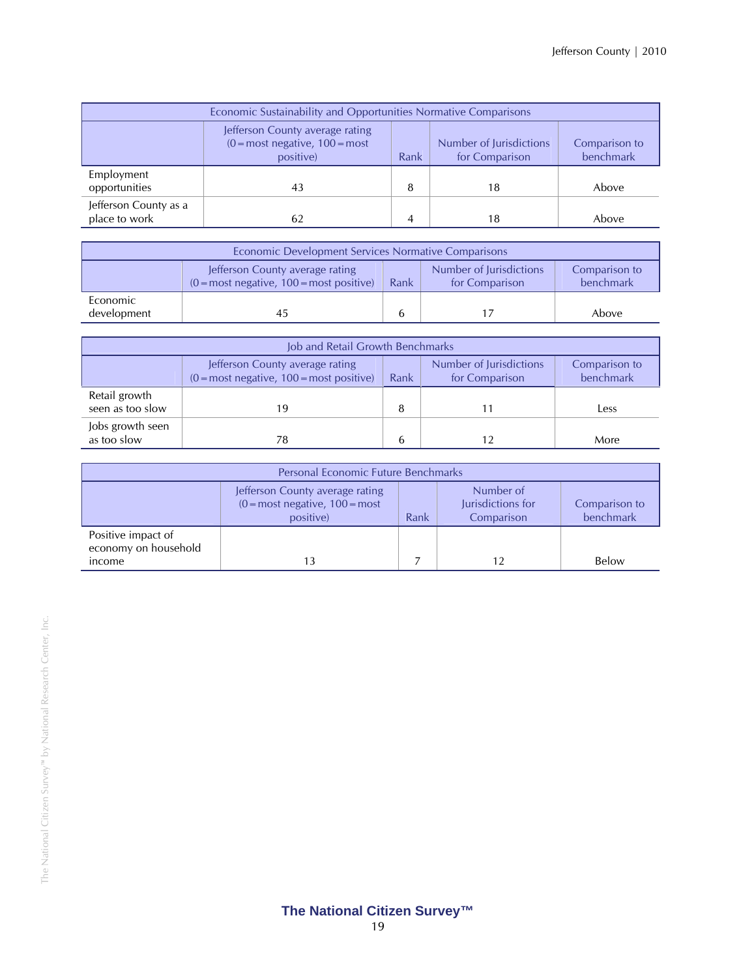| Economic Sustainability and Opportunities Normative Comparisons  |                                                                                                                                                                      |   |    |       |  |  |  |
|------------------------------------------------------------------|----------------------------------------------------------------------------------------------------------------------------------------------------------------------|---|----|-------|--|--|--|
|                                                                  | Jefferson County average rating<br>$(0 = most negative, 100 = most)$<br>Number of Jurisdictions<br>Comparison to<br>benchmark<br>for Comparison<br>positive)<br>Rank |   |    |       |  |  |  |
| Employment<br>opportunities                                      | 43                                                                                                                                                                   | 8 | 18 | Above |  |  |  |
| Jefferson County as a<br>place to work<br>Above<br>18<br>62<br>4 |                                                                                                                                                                      |   |    |       |  |  |  |

| Economic Development Services Normative Comparisons |                                                                                                                                                                                |  |  |       |  |
|-----------------------------------------------------|--------------------------------------------------------------------------------------------------------------------------------------------------------------------------------|--|--|-------|--|
|                                                     | Number of Jurisdictions<br>Jefferson County average rating<br>Comparison to<br>benchmark<br>Rank<br>$(0 = \text{most negative}, 100 = \text{most positive})$<br>for Comparison |  |  |       |  |
| Economic<br>development                             | 45                                                                                                                                                                             |  |  | Above |  |

| Job and Retail Growth Benchmarks  |                                                                                                                                                                  |   |  |      |  |  |
|-----------------------------------|------------------------------------------------------------------------------------------------------------------------------------------------------------------|---|--|------|--|--|
|                                   | Number of Jurisdictions<br>Jefferson County average rating<br>Comparison to<br>benchmark<br>$(0 = most negative, 100 = most positive)$<br>for Comparison<br>Rank |   |  |      |  |  |
| Retail growth<br>seen as too slow | 19                                                                                                                                                               | 8 |  | Less |  |  |
| Jobs growth seen<br>as too slow   | 78                                                                                                                                                               | b |  | More |  |  |

| <b>Personal Economic Future Benchmarks</b> |                                                                                                                                                                         |  |    |       |  |  |
|--------------------------------------------|-------------------------------------------------------------------------------------------------------------------------------------------------------------------------|--|----|-------|--|--|
|                                            | Number of<br>Jefferson County average rating<br>Jurisdictions for<br>$(0 = most negative, 100 = most)$<br>Comparison to<br>benchmark<br>Comparison<br>positive)<br>Rank |  |    |       |  |  |
| Positive impact of<br>economy on household |                                                                                                                                                                         |  |    |       |  |  |
| income                                     |                                                                                                                                                                         |  | 12 | Below |  |  |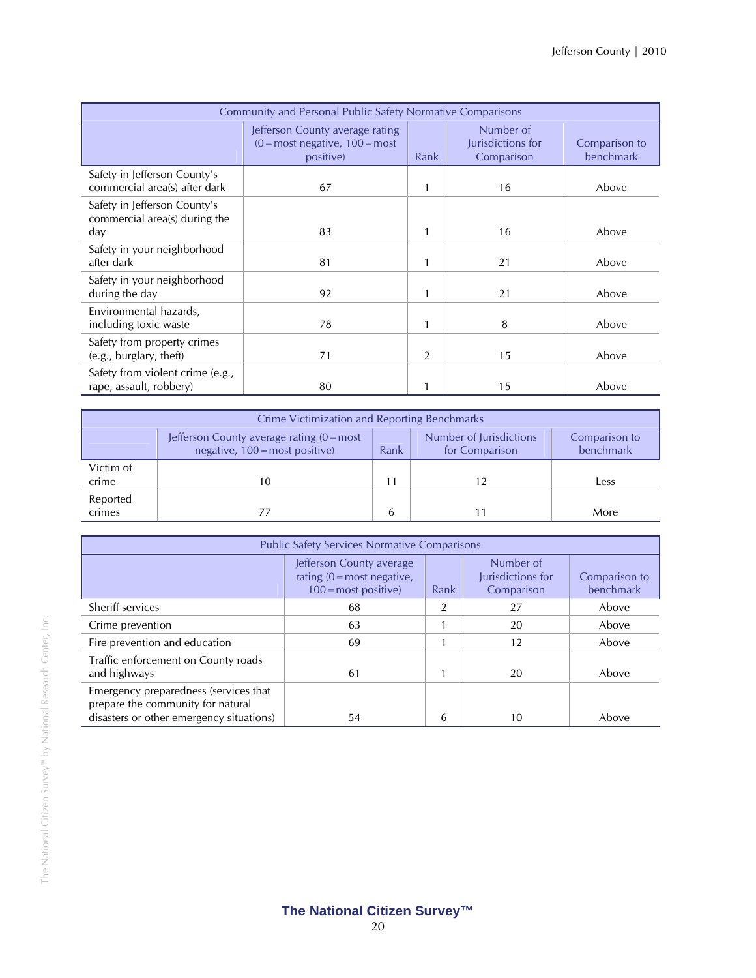| <b>Community and Personal Public Safety Normative Comparisons</b>    |                                                                                                 |      |                                              |                            |  |
|----------------------------------------------------------------------|-------------------------------------------------------------------------------------------------|------|----------------------------------------------|----------------------------|--|
|                                                                      | Jefferson County average rating<br>$(0 = \text{most negative}, 100 = \text{most})$<br>positive) | Rank | Number of<br>Jurisdictions for<br>Comparison | Comparison to<br>benchmark |  |
| Safety in Jefferson County's<br>commercial area(s) after dark        | 67                                                                                              | 1    | 16                                           | Above                      |  |
| Safety in Jefferson County's<br>commercial area(s) during the<br>day | 83                                                                                              | 1    | 16                                           | Above                      |  |
| Safety in your neighborhood<br>after dark                            | 81                                                                                              | 1    | 21                                           | Above                      |  |
| Safety in your neighborhood<br>during the day                        | 92                                                                                              | 1    | 21                                           | Above                      |  |
| Environmental hazards,<br>including toxic waste                      | 78                                                                                              | 1    | 8                                            | Above                      |  |
| Safety from property crimes<br>(e.g., burglary, theft)               | 71                                                                                              | 2    | 15                                           | Above                      |  |
| Safety from violent crime (e.g.,<br>rape, assault, robbery)          | 80                                                                                              |      | 15                                           | Above                      |  |

| Crime Victimization and Reporting Benchmarks |                                                                                       |      |                                           |                            |  |
|----------------------------------------------|---------------------------------------------------------------------------------------|------|-------------------------------------------|----------------------------|--|
|                                              | Jefferson County average rating $(0 = most$<br>negative, $100 = \text{most positive}$ | Rank | Number of Jurisdictions<br>for Comparison | Comparison to<br>benchmark |  |
| Victim of<br>crime                           | 10                                                                                    | 11   |                                           | Less                       |  |
| Reported<br>crimes                           |                                                                                       | 6    |                                           | More                       |  |

| <b>Public Safety Services Normative Comparisons</b>                                                                    |                                                                                                 |      |                                              |                            |  |
|------------------------------------------------------------------------------------------------------------------------|-------------------------------------------------------------------------------------------------|------|----------------------------------------------|----------------------------|--|
|                                                                                                                        | Jefferson County average<br>rating $(0 = \text{most negative})$<br>$100 = \text{most positive}$ | Rank | Number of<br>Jurisdictions for<br>Comparison | Comparison to<br>benchmark |  |
| Sheriff services                                                                                                       | 68                                                                                              |      | 27                                           | Above                      |  |
| Crime prevention                                                                                                       | 63                                                                                              |      | 20                                           | Above                      |  |
| Fire prevention and education                                                                                          | 69                                                                                              |      | 12                                           | Above                      |  |
| Traffic enforcement on County roads<br>and highways                                                                    | 61                                                                                              |      | 20                                           | Above                      |  |
| Emergency preparedness (services that<br>prepare the community for natural<br>disasters or other emergency situations) | 54                                                                                              | h    | 10                                           | Above                      |  |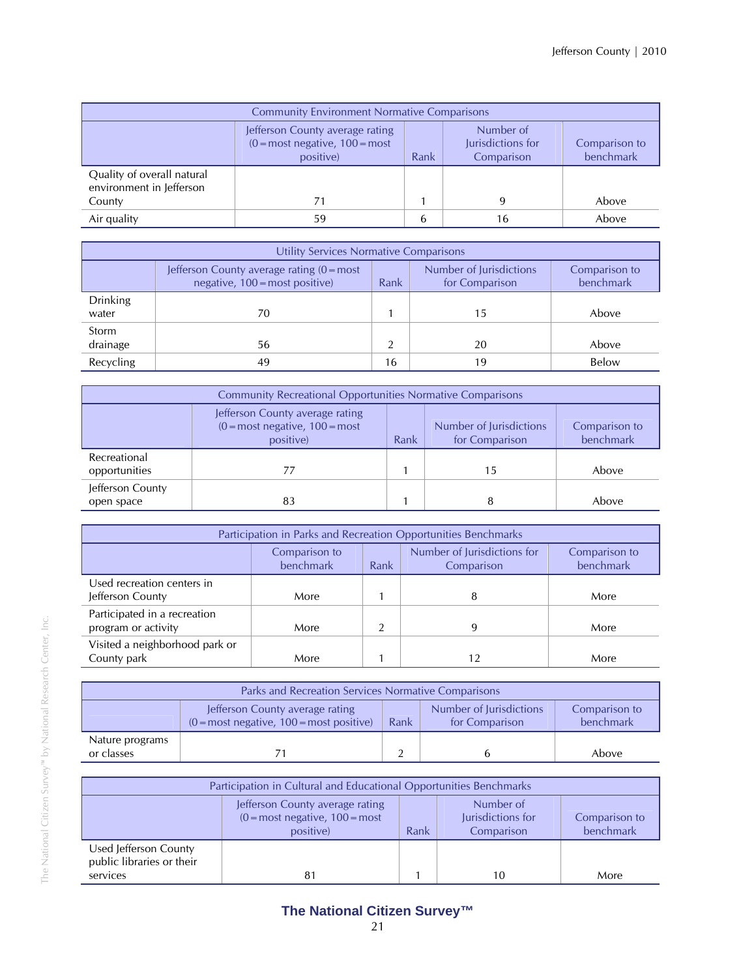| <b>Community Environment Normative Comparisons</b>     |                                                                                                                                                                         |   |    |       |  |  |
|--------------------------------------------------------|-------------------------------------------------------------------------------------------------------------------------------------------------------------------------|---|----|-------|--|--|
|                                                        | Number of<br>Jefferson County average rating<br>Jurisdictions for<br>$(0 = most negative, 100 = most)$<br>Comparison to<br>benchmark<br>Rank<br>positive)<br>Comparison |   |    |       |  |  |
| Quality of overall natural<br>environment in Jefferson |                                                                                                                                                                         |   |    |       |  |  |
| County                                                 |                                                                                                                                                                         |   |    | Above |  |  |
| Air quality                                            | 59                                                                                                                                                                      | b | 16 | Above |  |  |

|                          | Utility Services Normative Comparisons                                                |      |                                           |                            |  |  |
|--------------------------|---------------------------------------------------------------------------------------|------|-------------------------------------------|----------------------------|--|--|
|                          | Jefferson County average rating $(0 = most$<br>negative, $100 = \text{most positive}$ | Rank | Number of Jurisdictions<br>for Comparison | Comparison to<br>benchmark |  |  |
| <b>Drinking</b><br>water | 70                                                                                    |      | 15                                        | Above                      |  |  |
| Storm<br>drainage        | 56                                                                                    |      | 20                                        | Above                      |  |  |
| Recycling                | 49                                                                                    | 16   | 19                                        | Below                      |  |  |

| <b>Community Recreational Opportunities Normative Comparisons</b> |                                                                                                                                                                                    |  |    |       |  |  |
|-------------------------------------------------------------------|------------------------------------------------------------------------------------------------------------------------------------------------------------------------------------|--|----|-------|--|--|
|                                                                   | Jefferson County average rating<br>$(0 = \text{most negative}, 100 = \text{most})$<br>Number of Jurisdictions<br>Comparison to<br>benchmark<br>for Comparison<br>positive)<br>Rank |  |    |       |  |  |
| Recreational<br>opportunities                                     | 77                                                                                                                                                                                 |  | 15 | Above |  |  |
| Jefferson County<br>open space                                    | 83                                                                                                                                                                                 |  | 8  | Above |  |  |

| Participation in Parks and Recreation Opportunities Benchmarks |                            |      |                                           |                            |  |  |
|----------------------------------------------------------------|----------------------------|------|-------------------------------------------|----------------------------|--|--|
|                                                                | Comparison to<br>benchmark | Rank | Number of Jurisdictions for<br>Comparison | Comparison to<br>benchmark |  |  |
| Used recreation centers in<br>Jefferson County                 | More                       |      | 8                                         | More                       |  |  |
| Participated in a recreation<br>program or activity            | More                       |      | Q                                         | More                       |  |  |
| Visited a neighborhood park or<br>County park                  | More                       |      |                                           | More                       |  |  |

| Parks and Recreation Services Normative Comparisons |                                                                                                                                                                                |  |  |       |  |
|-----------------------------------------------------|--------------------------------------------------------------------------------------------------------------------------------------------------------------------------------|--|--|-------|--|
|                                                     | Number of Jurisdictions<br>Jefferson County average rating<br>Comparison to<br>benchmark<br>$(0 = \text{most negative}, 100 = \text{most positive})$<br>Rank<br>for Comparison |  |  |       |  |
| Nature programs<br>or classes                       |                                                                                                                                                                                |  |  | Above |  |

| Participation in Cultural and Educational Opportunities Benchmarks |                                                                                                                                                                                       |  |    |      |  |  |
|--------------------------------------------------------------------|---------------------------------------------------------------------------------------------------------------------------------------------------------------------------------------|--|----|------|--|--|
|                                                                    | Number of<br>Jefferson County average rating<br>Jurisdictions for<br>$(0 = \text{most negative}, 100 = \text{most})$<br>Comparison to<br>benchmark<br>Comparison<br>Rank<br>positive) |  |    |      |  |  |
| Used Jefferson County<br>public libraries or their<br>services     | 81                                                                                                                                                                                    |  | 10 | More |  |  |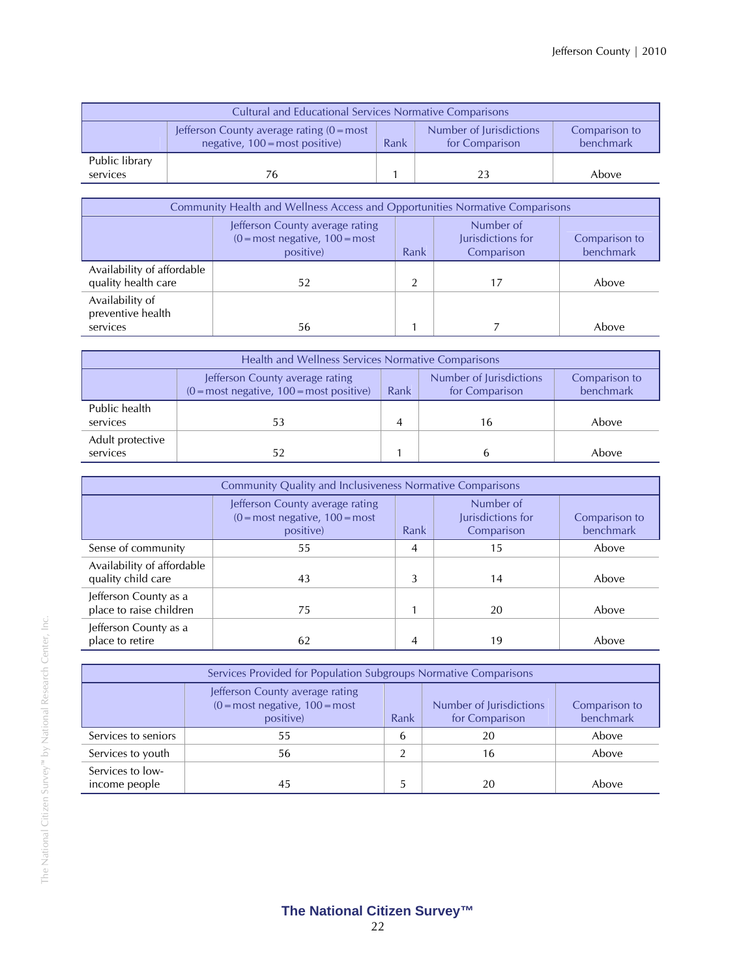| <b>Cultural and Educational Services Normative Comparisons</b>                                                                             |    |  |    |                            |  |
|--------------------------------------------------------------------------------------------------------------------------------------------|----|--|----|----------------------------|--|
| Number of Jurisdictions<br>Jefferson County average rating $(0 = most$<br>Rank<br>negative, $100 = \text{most positive}$<br>for Comparison |    |  |    | Comparison to<br>benchmark |  |
| Public library<br>services                                                                                                                 | 76 |  | 23 | Above                      |  |

| <b>Community Health and Wellness Access and Opportunities Normative Comparisons</b> |                                                                                   |      |                                              |                            |
|-------------------------------------------------------------------------------------|-----------------------------------------------------------------------------------|------|----------------------------------------------|----------------------------|
|                                                                                     | Jefferson County average rating<br>$(0 = most negative, 100 = most)$<br>positive) | Rank | Number of<br>Jurisdictions for<br>Comparison | Comparison to<br>benchmark |
| Availability of affordable<br>quality health care                                   | 52                                                                                |      |                                              | Above                      |
| Availability of<br>preventive health<br>services                                    | 56                                                                                |      |                                              | Above                      |

| Health and Wellness Services Normative Comparisons |                                                                                                                                                                                |  |    |       |  |  |
|----------------------------------------------------|--------------------------------------------------------------------------------------------------------------------------------------------------------------------------------|--|----|-------|--|--|
|                                                    | Number of Jurisdictions<br>Jefferson County average rating<br>Comparison to<br>benchmark<br>$(0 = \text{most negative}, 100 = \text{most positive})$<br>for Comparison<br>Rank |  |    |       |  |  |
| Public health<br>services                          |                                                                                                                                                                                |  | 16 | Above |  |  |
| Adult protective<br>services                       | 52                                                                                                                                                                             |  |    | Above |  |  |

| <b>Community Quality and Inclusiveness Normative Comparisons</b> |                                                                                   |      |                                              |                            |
|------------------------------------------------------------------|-----------------------------------------------------------------------------------|------|----------------------------------------------|----------------------------|
|                                                                  | Jefferson County average rating<br>$(0 = most negative, 100 = most)$<br>positive) | Rank | Number of<br>Jurisdictions for<br>Comparison | Comparison to<br>benchmark |
| Sense of community                                               | 55                                                                                | 4    | 15                                           | Above                      |
| Availability of affordable<br>quality child care                 | 43                                                                                |      | 14                                           | Above                      |
| Jefferson County as a<br>place to raise children                 | 75                                                                                |      | 20                                           | Above                      |
| Jefferson County as a<br>place to retire                         | 62                                                                                | 4    | 19                                           | Above                      |

| Services Provided for Population Subgroups Normative Comparisons |                                                                                                                                                                      |   |    |       |  |  |
|------------------------------------------------------------------|----------------------------------------------------------------------------------------------------------------------------------------------------------------------|---|----|-------|--|--|
|                                                                  | Jefferson County average rating<br>Number of Jurisdictions<br>$(0 = most negative, 100 = most)$<br>Comparison to<br>benchmark<br>for Comparison<br>positive)<br>Rank |   |    |       |  |  |
| Services to seniors                                              | 55                                                                                                                                                                   | 6 | 20 | Above |  |  |
| Services to youth                                                | 56                                                                                                                                                                   |   | 16 | Above |  |  |
| Services to low-<br>income people<br>45<br>20<br>Above           |                                                                                                                                                                      |   |    |       |  |  |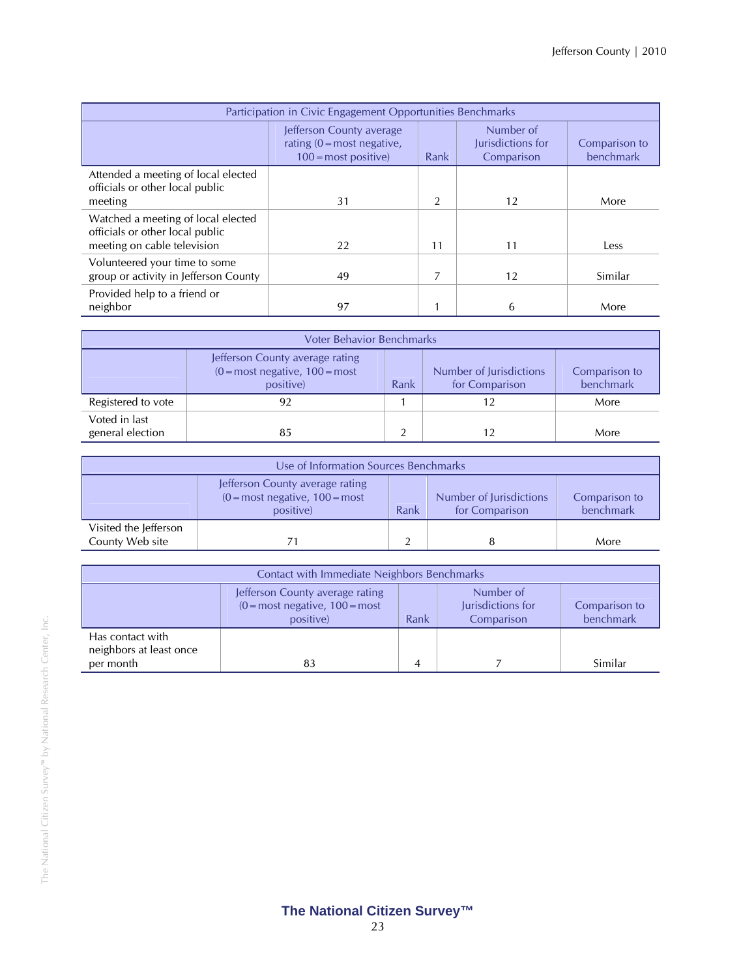| Participation in Civic Engagement Opportunities Benchmarks                                           |                                                                                             |      |                                              |                            |
|------------------------------------------------------------------------------------------------------|---------------------------------------------------------------------------------------------|------|----------------------------------------------|----------------------------|
|                                                                                                      | Jefferson County average<br>rating $(0 = \text{most negative})$ .<br>$100 =$ most positive) | Rank | Number of<br>Jurisdictions for<br>Comparison | Comparison to<br>benchmark |
| Attended a meeting of local elected<br>officials or other local public<br>meeting                    | 31                                                                                          | 2    | 12                                           | More                       |
| Watched a meeting of local elected<br>officials or other local public<br>meeting on cable television | 22                                                                                          | 11   | 11                                           | Less                       |
| Volunteered your time to some<br>group or activity in Jefferson County                               | 49                                                                                          |      | 12                                           | Similar                    |
| Provided help to a friend or<br>neighbor                                                             | 97                                                                                          |      | 6                                            | More                       |

| <b>Voter Behavior Benchmarks</b>  |                                                                                                                                                                                    |  |  |      |  |
|-----------------------------------|------------------------------------------------------------------------------------------------------------------------------------------------------------------------------------|--|--|------|--|
|                                   | Jefferson County average rating<br>$(0 = \text{most negative}, 100 = \text{most})$<br>Number of Jurisdictions<br>Comparison to<br>benchmark<br>for Comparison<br>positive)<br>Rank |  |  |      |  |
| Registered to vote                | 92                                                                                                                                                                                 |  |  | More |  |
| Voted in last<br>general election | 85                                                                                                                                                                                 |  |  | More |  |

| Use of Information Sources Benchmarks    |                                                                                                 |      |                                           |                            |
|------------------------------------------|-------------------------------------------------------------------------------------------------|------|-------------------------------------------|----------------------------|
|                                          | Jefferson County average rating<br>$(0 = \text{most negative}, 100 = \text{most})$<br>positive) | Rank | Number of Jurisdictions<br>for Comparison | Comparison to<br>benchmark |
| Visited the Jefferson<br>County Web site |                                                                                                 |      |                                           | More                       |

| Contact with Immediate Neighbors Benchmarks              |                                                                                                                                                                         |   |  |         |  |
|----------------------------------------------------------|-------------------------------------------------------------------------------------------------------------------------------------------------------------------------|---|--|---------|--|
|                                                          | Number of<br>Jefferson County average rating<br>$(0 = most negative, 100 = most)$<br>Jurisdictions for<br>Comparison to<br>benchmark<br>Rank<br>positive)<br>Comparison |   |  |         |  |
| Has contact with<br>neighbors at least once<br>per month | 83                                                                                                                                                                      | 4 |  | Similar |  |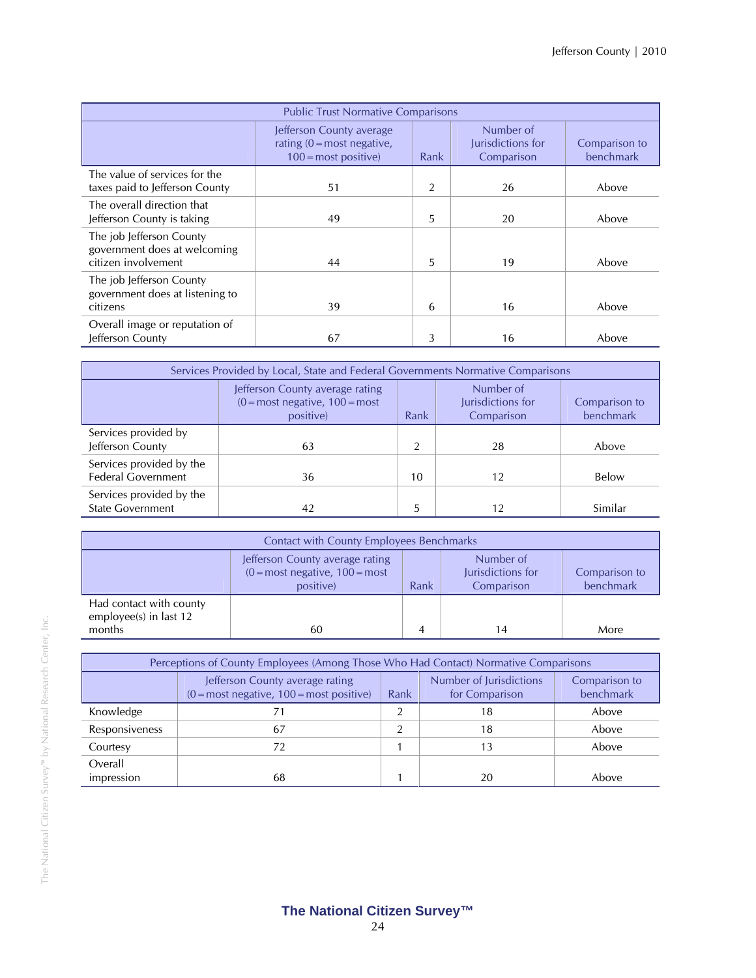| <b>Public Trust Normative Comparisons</b>                                       |                                                                                                 |      |                                              |                            |
|---------------------------------------------------------------------------------|-------------------------------------------------------------------------------------------------|------|----------------------------------------------|----------------------------|
|                                                                                 | Jefferson County average<br>rating $(0 = \text{most negative})$<br>$100 = \text{most positive}$ | Rank | Number of<br>Jurisdictions for<br>Comparison | Comparison to<br>benchmark |
| The value of services for the<br>taxes paid to Jefferson County                 | 51                                                                                              | 2    | 26                                           | Above                      |
| The overall direction that<br>Jefferson County is taking                        | 49                                                                                              | 5    | 20                                           | Above                      |
| The job Jefferson County<br>government does at welcoming<br>citizen involvement | 44                                                                                              | 5    | 19                                           | Above                      |
| The job Jefferson County<br>government does at listening to<br>citizens         | 39                                                                                              | 6    | 16                                           | Above                      |
| Overall image or reputation of<br>Jefferson County                              | 67                                                                                              | 3    | 16                                           | Above                      |

| Services Provided by Local, State and Federal Governments Normative Comparisons |                                                                                                                                                                         |    |    |         |  |  |
|---------------------------------------------------------------------------------|-------------------------------------------------------------------------------------------------------------------------------------------------------------------------|----|----|---------|--|--|
|                                                                                 | Number of<br>Jefferson County average rating<br>Jurisdictions for<br>$(0 = most negative, 100 = most)$<br>Comparison to<br>benchmark<br>Rank<br>Comparison<br>positive) |    |    |         |  |  |
| Services provided by<br>Jefferson County                                        | 63                                                                                                                                                                      | ി  | 28 | Above   |  |  |
| Services provided by the<br><b>Federal Government</b>                           | 36                                                                                                                                                                      | 10 | 12 | Below   |  |  |
| Services provided by the<br><b>State Government</b>                             | 42                                                                                                                                                                      | 5  | 12 | Similar |  |  |

| <b>Contact with County Employees Benchmarks</b>             |                                                                                                                                                                                       |  |    |      |  |
|-------------------------------------------------------------|---------------------------------------------------------------------------------------------------------------------------------------------------------------------------------------|--|----|------|--|
|                                                             | Number of<br>Jefferson County average rating<br>$(0 = \text{most negative}, 100 = \text{most})$<br>Jurisdictions for<br>Comparison to<br>benchmark<br>Rank<br>positive)<br>Comparison |  |    |      |  |
| Had contact with county<br>employee(s) in last 12<br>months | 60                                                                                                                                                                                    |  | 14 | More |  |

| Perceptions of County Employees (Among Those Who Had Contact) Normative Comparisons |                                                                                                                                                                  |  |    |       |  |  |  |
|-------------------------------------------------------------------------------------|------------------------------------------------------------------------------------------------------------------------------------------------------------------|--|----|-------|--|--|--|
|                                                                                     | Number of Jurisdictions<br>Jefferson County average rating<br>Comparison to<br>$(0 = most negative, 100 = most positive)$<br>benchmark<br>Rank<br>for Comparison |  |    |       |  |  |  |
| Knowledge                                                                           |                                                                                                                                                                  |  | 18 | Above |  |  |  |
| Responsiveness                                                                      | 67                                                                                                                                                               |  | 18 | Above |  |  |  |
| Courtesy                                                                            |                                                                                                                                                                  |  | 13 | Above |  |  |  |
| Overall<br>impression                                                               | 68                                                                                                                                                               |  | 20 | Above |  |  |  |